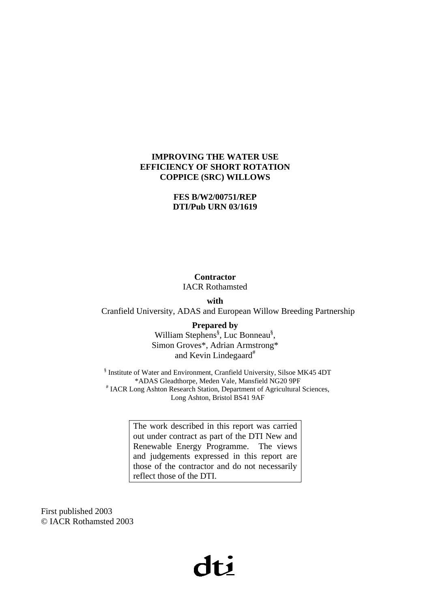#### **IMPROVING THE WATER USE EFFICIENCY OF SHORT ROTATION COPPICE (SRC) WILLOWS**

#### **FES B/W2/00751/REP DTI/Pub URN 03/1619**

#### **Contractor**  IACR Rothamsted

**with** 

Cranfield University, ADAS and European Willow Breeding Partnership

**Prepared by**  William Stephens<sup>§</sup>, Luc Bonneau<sup>§</sup>, Simon Groves\*, Adrian Armstrong\* and Kevin Lindegaard<sup>#</sup>

§ Institute of Water and Environment, Cranfield University, Silsoe MK45 4DT \*ADAS Gleadthorpe, Meden Vale, Mansfield NG20 9PF # # IACR Long Ashton Research Station, Department of Agricultural Sciences, Long Ashton, Bristol BS41 9AF

> The work described in this report was carried out under contract as part of the DTI New and Renewable Energy Programme. The views and judgements expressed in this report are those of the contractor and do not necessarily reflect those of the DTI.

First published 2003 © IACR Rothamsted 2003

# $\mathbf{d}\mathbf{t}$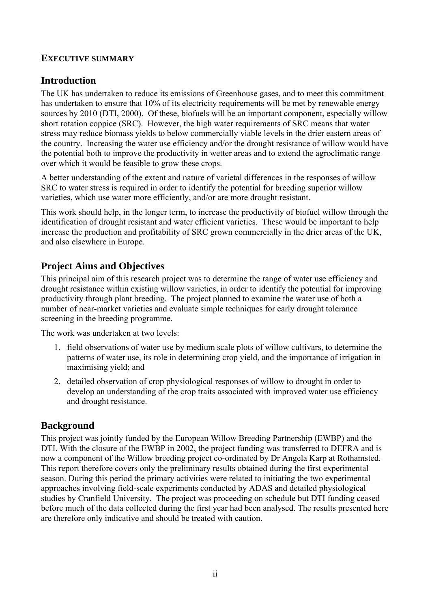## **EXECUTIVE SUMMARY**

## **Introduction**

The UK has undertaken to reduce its emissions of Greenhouse gases, and to meet this commitment has undertaken to ensure that 10% of its electricity requirements will be met by renewable energy sources by 2010 (DTI, 2000). Of these, biofuels will be an important component, especially willow short rotation coppice (SRC). However, the high water requirements of SRC means that water stress may reduce biomass yields to below commercially viable levels in the drier eastern areas of the country. Increasing the water use efficiency and/or the drought resistance of willow would have the potential both to improve the productivity in wetter areas and to extend the agroclimatic range over which it would be feasible to grow these crops.

A better understanding of the extent and nature of varietal differences in the responses of willow SRC to water stress is required in order to identify the potential for breeding superior willow varieties, which use water more efficiently, and/or are more drought resistant.

This work should help, in the longer term, to increase the productivity of biofuel willow through the identification of drought resistant and water efficient varieties. These would be important to help increase the production and profitability of SRC grown commercially in the drier areas of the UK, and also elsewhere in Europe.

## **Project Aims and Objectives**

This principal aim of this research project was to determine the range of water use efficiency and drought resistance within existing willow varieties, in order to identify the potential for improving productivity through plant breeding. The project planned to examine the water use of both a number of near-market varieties and evaluate simple techniques for early drought tolerance screening in the breeding programme.

The work was undertaken at two levels:

- 1. field observations of water use by medium scale plots of willow cultivars, to determine the patterns of water use, its role in determining crop yield, and the importance of irrigation in maximising yield; and
- 2. detailed observation of crop physiological responses of willow to drought in order to develop an understanding of the crop traits associated with improved water use efficiency and drought resistance.

## **Background**

This project was jointly funded by the European Willow Breeding Partnership (EWBP) and the DTI. With the closure of the EWBP in 2002, the project funding was transferred to DEFRA and is now a component of the Willow breeding project co-ordinated by Dr Angela Karp at Rothamsted. This report therefore covers only the preliminary results obtained during the first experimental season. During this period the primary activities were related to initiating the two experimental approaches involving field-scale experiments conducted by ADAS and detailed physiological studies by Cranfield University. The project was proceeding on schedule but DTI funding ceased before much of the data collected during the first year had been analysed. The results presented here are therefore only indicative and should be treated with caution.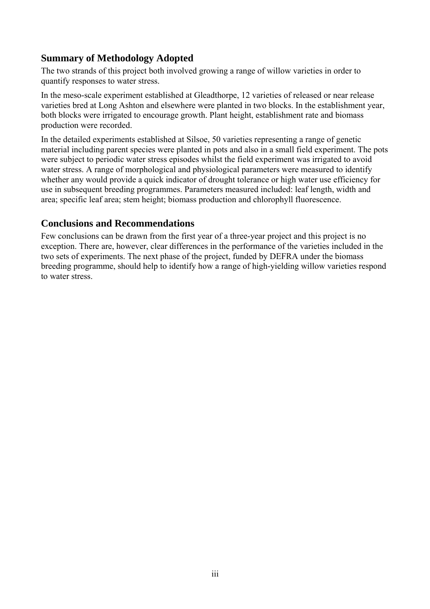## **Summary of Methodology Adopted**

The two strands of this project both involved growing a range of willow varieties in order to quantify responses to water stress.

In the meso-scale experiment established at Gleadthorpe, 12 varieties of released or near release varieties bred at Long Ashton and elsewhere were planted in two blocks. In the establishment year, both blocks were irrigated to encourage growth. Plant height, establishment rate and biomass production were recorded.

In the detailed experiments established at Silsoe, 50 varieties representing a range of genetic material including parent species were planted in pots and also in a small field experiment. The pots were subject to periodic water stress episodes whilst the field experiment was irrigated to avoid water stress. A range of morphological and physiological parameters were measured to identify whether any would provide a quick indicator of drought tolerance or high water use efficiency for use in subsequent breeding programmes. Parameters measured included: leaf length, width and area; specific leaf area; stem height; biomass production and chlorophyll fluorescence.

## **Conclusions and Recommendations**

Few conclusions can be drawn from the first year of a three-year project and this project is no exception. There are, however, clear differences in the performance of the varieties included in the two sets of experiments. The next phase of the project, funded by DEFRA under the biomass breeding programme, should help to identify how a range of high-yielding willow varieties respond to water stress.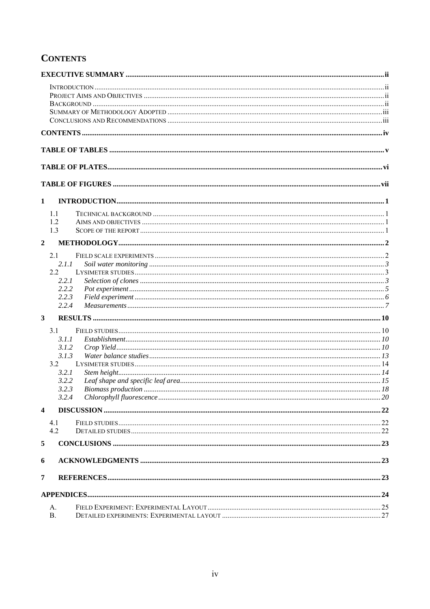## **CONTENTS**

| $\mathbf{1}$            |                |  |
|-------------------------|----------------|--|
|                         | 1.1            |  |
|                         | 1.2            |  |
|                         | 1.3            |  |
| $\overline{2}$          |                |  |
|                         | 2.1            |  |
|                         | 2.1.1          |  |
|                         | 2.2            |  |
|                         | 2.2.1          |  |
|                         | 2.2.2          |  |
|                         | 2.2.3          |  |
|                         | 2.2.4          |  |
| $\overline{\mathbf{3}}$ |                |  |
|                         | 3.1            |  |
|                         | 3.1.1          |  |
|                         | 3.1.2          |  |
|                         | 3.1.3          |  |
|                         | 3.2            |  |
|                         | 3.2.1<br>3.2.2 |  |
|                         | 3.2.3          |  |
|                         | 3.2.4          |  |
| $\overline{\mathbf{4}}$ |                |  |
|                         | 4.1            |  |
|                         | 4.2            |  |
| 5                       |                |  |
| 6                       |                |  |
| $\overline{7}$          |                |  |
|                         |                |  |
|                         |                |  |
|                         | А.             |  |
|                         | <b>B.</b>      |  |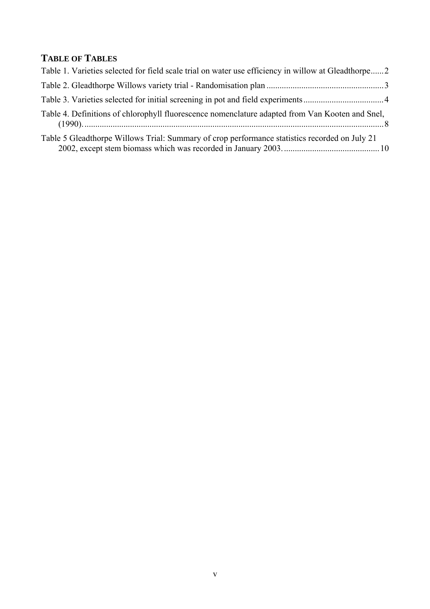## **TABLE OF TABLES**

| Table 1. Varieties selected for field scale trial on water use efficiency in willow at Gleadthorpe2 |  |
|-----------------------------------------------------------------------------------------------------|--|
|                                                                                                     |  |
|                                                                                                     |  |
| Table 4. Definitions of chlorophyll fluorescence nomenclature adapted from Van Kooten and Snel,     |  |
| Table 5 Gleadthorpe Willows Trial: Summary of crop performance statistics recorded on July 21       |  |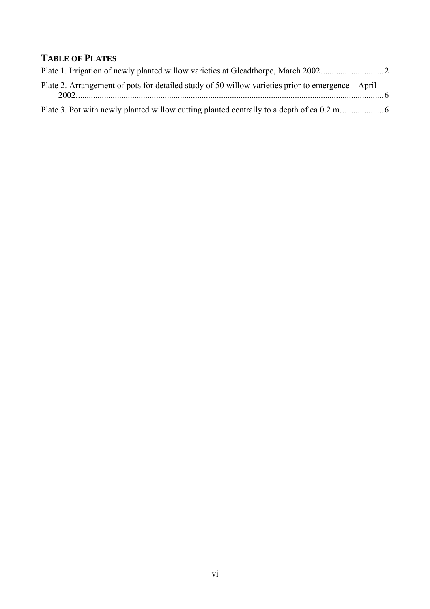## **TABLE OF PLATES**

| Plate 2. Arrangement of pots for detailed study of 50 willow varieties prior to emergence – April |  |
|---------------------------------------------------------------------------------------------------|--|
|                                                                                                   |  |
|                                                                                                   |  |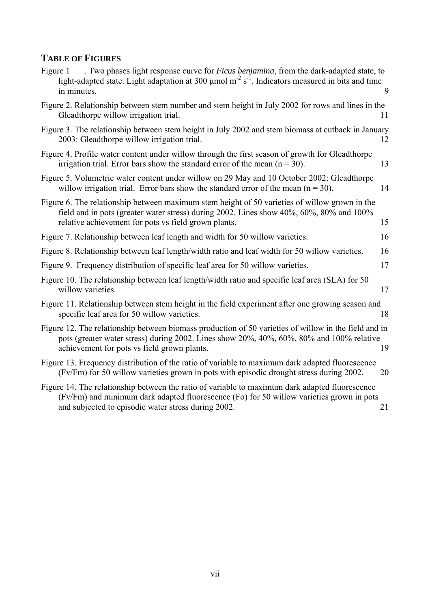## **TABLE OF FIGURES**

| . Two phases light response curve for <i>Ficus benjamina</i> , from the dark-adapted state, to<br>Figure 1<br>light-adapted state. Light adaptation at 300 $\mu$ mol m <sup>-2</sup> s <sup>-1</sup> . Indicators measured in bits and time<br>in minutes. | 9  |
|------------------------------------------------------------------------------------------------------------------------------------------------------------------------------------------------------------------------------------------------------------|----|
| Figure 2. Relationship between stem number and stem height in July 2002 for rows and lines in the<br>Gleadthorpe willow irrigation trial.                                                                                                                  | 11 |
| Figure 3. The relationship between stem height in July 2002 and stem biomass at cutback in January<br>2003: Gleadthorpe willow irrigation trial.                                                                                                           | 12 |
| Figure 4. Profile water content under willow through the first season of growth for Gleadthorpe<br>irrigation trial. Error bars show the standard error of the mean $(n = 30)$ .                                                                           | 13 |
| Figure 5. Volumetric water content under willow on 29 May and 10 October 2002: Gleadthorpe<br>willow irrigation trial. Error bars show the standard error of the mean $(n = 30)$ .                                                                         | 14 |
| Figure 6. The relationship between maximum stem height of 50 varieties of willow grown in the<br>field and in pots (greater water stress) during 2002. Lines show 40%, 60%, 80% and 100%<br>relative achievement for pots vs field grown plants.           | 15 |
| Figure 7. Relationship between leaf length and width for 50 willow varieties.                                                                                                                                                                              | 16 |
| Figure 8. Relationship between leaf length/width ratio and leaf width for 50 willow varieties.                                                                                                                                                             | 16 |
| Figure 9. Frequency distribution of specific leaf area for 50 willow varieties.                                                                                                                                                                            | 17 |
| Figure 10. The relationship between leaf length/width ratio and specific leaf area (SLA) for 50<br>willow varieties.                                                                                                                                       | 17 |
| Figure 11. Relationship between stem height in the field experiment after one growing season and<br>specific leaf area for 50 willow varieties.                                                                                                            | 18 |
| Figure 12. The relationship between biomass production of 50 varieties of willow in the field and in<br>pots (greater water stress) during 2002. Lines show 20%, 40%, 60%, 80% and 100% relative<br>achievement for pots vs field grown plants.            | 19 |
| Figure 13. Frequency distribution of the ratio of variable to maximum dark adapted fluorescence<br>(Fv/Fm) for 50 willow varieties grown in pots with episodic drought stress during 2002.                                                                 | 20 |
| Figure 14. The relationship between the ratio of variable to maximum dark adapted fluorescence<br>(Fv/Fm) and minimum dark adapted fluorescence (Fo) for 50 willow varieties grown in pots<br>and subjected to episodic water stress during 2002.          | 21 |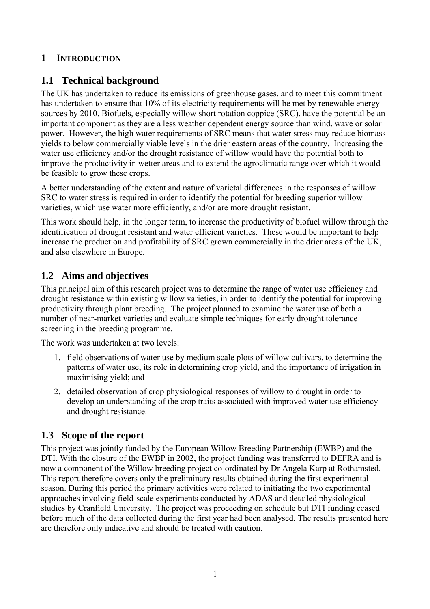## **1 INTRODUCTION**

## **1.1 Technical background**

The UK has undertaken to reduce its emissions of greenhouse gases, and to meet this commitment has undertaken to ensure that 10% of its electricity requirements will be met by renewable energy sources by 2010. Biofuels, especially willow short rotation coppice (SRC), have the potential be an important component as they are a less weather dependent energy source than wind, wave or solar power. However, the high water requirements of SRC means that water stress may reduce biomass yields to below commercially viable levels in the drier eastern areas of the country. Increasing the water use efficiency and/or the drought resistance of willow would have the potential both to improve the productivity in wetter areas and to extend the agroclimatic range over which it would be feasible to grow these crops.

A better understanding of the extent and nature of varietal differences in the responses of willow SRC to water stress is required in order to identify the potential for breeding superior willow varieties, which use water more efficiently, and/or are more drought resistant.

This work should help, in the longer term, to increase the productivity of biofuel willow through the identification of drought resistant and water efficient varieties. These would be important to help increase the production and profitability of SRC grown commercially in the drier areas of the UK, and also elsewhere in Europe.

## **1.2 Aims and objectives**

This principal aim of this research project was to determine the range of water use efficiency and drought resistance within existing willow varieties, in order to identify the potential for improving productivity through plant breeding. The project planned to examine the water use of both a number of near-market varieties and evaluate simple techniques for early drought tolerance screening in the breeding programme.

The work was undertaken at two levels:

- 1. field observations of water use by medium scale plots of willow cultivars, to determine the patterns of water use, its role in determining crop yield, and the importance of irrigation in maximising yield; and
- 2. detailed observation of crop physiological responses of willow to drought in order to develop an understanding of the crop traits associated with improved water use efficiency and drought resistance.

## **1.3 Scope of the report**

This project was jointly funded by the European Willow Breeding Partnership (EWBP) and the DTI. With the closure of the EWBP in 2002, the project funding was transferred to DEFRA and is now a component of the Willow breeding project co-ordinated by Dr Angela Karp at Rothamsted. This report therefore covers only the preliminary results obtained during the first experimental season. During this period the primary activities were related to initiating the two experimental approaches involving field-scale experiments conducted by ADAS and detailed physiological studies by Cranfield University. The project was proceeding on schedule but DTI funding ceased before much of the data collected during the first year had been analysed. The results presented here are therefore only indicative and should be treated with caution.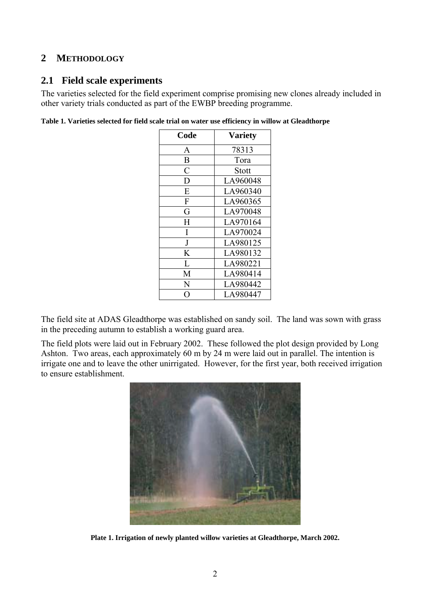## **2 METHODOLOGY**

## **2.1 Field scale experiments**

The varieties selected for the field experiment comprise promising new clones already included in other variety trials conducted as part of the EWBP breeding programme.

|  |  | Table 1. Varieties selected for field scale trial on water use efficiency in willow at Gleadthorpe |
|--|--|----------------------------------------------------------------------------------------------------|
|  |  |                                                                                                    |

| Code           | <b>Variety</b> |
|----------------|----------------|
| A              | 78313          |
| B              | Tora           |
| $\overline{C}$ | Stott          |
| D              | LA960048       |
| E              | LA960340       |
| ${\bf F}$      | LA960365       |
| G              | LA970048       |
| H              | LA970164       |
| I              | LA970024       |
| J              | LA980125       |
| K              | LA980132       |
| L              | LA980221       |
| M              | LA980414       |
| N              | LA980442       |
| $\cap$         | LA980447       |

The field site at ADAS Gleadthorpe was established on sandy soil. The land was sown with grass in the preceding autumn to establish a working guard area.

The field plots were laid out in February 2002. These followed the plot design provided by Long Ashton. Two areas, each approximately 60 m by 24 m were laid out in parallel. The intention is irrigate one and to leave the other unirrigated. However, for the first year, both received irrigation to ensure establishment.



**Plate 1. Irrigation of newly planted willow varieties at Gleadthorpe, March 2002.**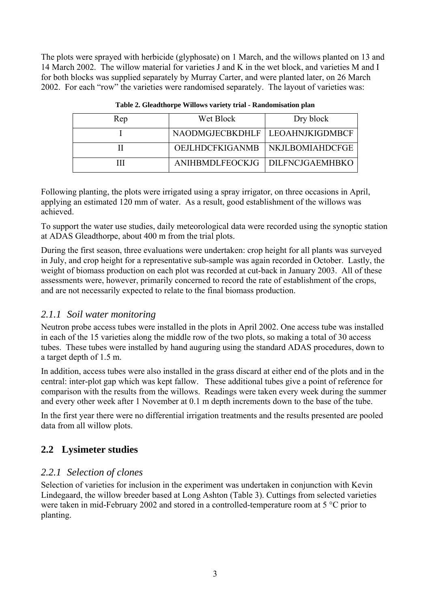The plots were sprayed with herbicide (glyphosate) on 1 March, and the willows planted on 13 and 14 March 2002. The willow material for varieties J and K in the wet block, and varieties M and I for both blocks was supplied separately by Murray Carter, and were planted later, on 26 March 2002. For each "row" the varieties were randomised separately. The layout of varieties was:

| Rep | Wet Block                         | Dry block |
|-----|-----------------------------------|-----------|
|     | NAODMGJECBKDHLF   LEOAHNJKIGDMBCF |           |
|     | OEJLHDCFKIGANMB   NKJLBOMIAHDCFGE |           |
|     | ANIHBMDLFEOCKJG   DILFNCJGAEMHBKO |           |

|  |  | Table 2. Gleadthorpe Willows variety trial - Randomisation plan |  |
|--|--|-----------------------------------------------------------------|--|
|  |  |                                                                 |  |

Following planting, the plots were irrigated using a spray irrigator, on three occasions in April, applying an estimated 120 mm of water. As a result, good establishment of the willows was achieved.

To support the water use studies, daily meteorological data were recorded using the synoptic station at ADAS Gleadthorpe, about 400 m from the trial plots.

During the first season, three evaluations were undertaken: crop height for all plants was surveyed in July, and crop height for a representative sub-sample was again recorded in October. Lastly, the weight of biomass production on each plot was recorded at cut-back in January 2003. All of these assessments were, however, primarily concerned to record the rate of establishment of the crops, and are not necessarily expected to relate to the final biomass production.

## *2.1.1 Soil water monitoring*

Neutron probe access tubes were installed in the plots in April 2002. One access tube was installed in each of the 15 varieties along the middle row of the two plots, so making a total of 30 access tubes. These tubes were installed by hand auguring using the standard ADAS procedures, down to a target depth of 1.5 m.

In addition, access tubes were also installed in the grass discard at either end of the plots and in the central: inter-plot gap which was kept fallow. These additional tubes give a point of reference for comparison with the results from the willows. Readings were taken every week during the summer and every other week after 1 November at 0.1 m depth increments down to the base of the tube.

In the first year there were no differential irrigation treatments and the results presented are pooled data from all willow plots.

## **2.2 Lysimeter studies**

## *2.2.1 Selection of clones*

Selection of varieties for inclusion in the experiment was undertaken in conjunction with Kevin Lindegaard, the willow breeder based at Long Ashton (Table 3). Cuttings from selected varieties were taken in mid-February 2002 and stored in a controlled-temperature room at 5 °C prior to planting.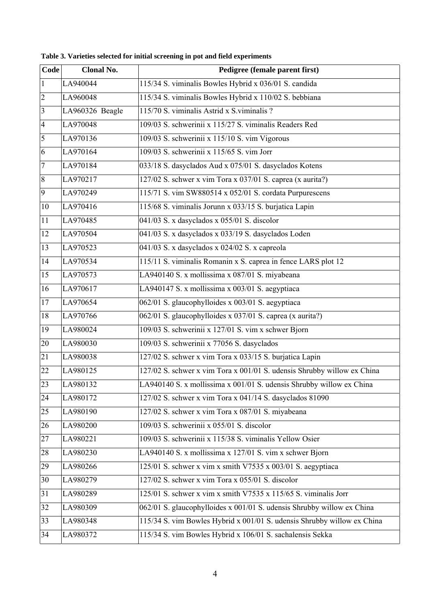| Code                    | Clonal No.      | Pedigree (female parent first)                                          |
|-------------------------|-----------------|-------------------------------------------------------------------------|
| $\vert$ 1               | LA940044        | 115/34 S. viminalis Bowles Hybrid x 036/01 S. candida                   |
| $ 2\rangle$             | LA960048        | 115/34 S. viminalis Bowles Hybrid x 110/02 S. bebbiana                  |
| $\overline{\mathbf{3}}$ | LA960326 Beagle | 115/70 S. viminalis Astrid x S. viminalis ?                             |
| $\overline{4}$          | LA970048        | 109/03 S. schwerinii x 115/27 S. viminalis Readers Red                  |
| 5                       | LA970136        | 109/03 S. schwerinii x 115/10 S. vim Vigorous                           |
| 6                       | LA970164        | 109/03 S. schwerinii x 115/65 S. vim Jorr                               |
| $\overline{7}$          | LA970184        | 033/18 S. dasyclados Aud x 075/01 S. dasyclados Kotens                  |
| $\overline{8}$          | LA970217        | 127/02 S. schwer x vim Tora x 037/01 S. caprea (x aurita?)              |
| $\overline{9}$          | LA970249        | 115/71 S. vim SW880514 x 052/01 S. cordata Purpurescens                 |
| 10                      | LA970416        | 115/68 S. viminalis Jorunn x 033/15 S. burjatica Lapin                  |
| 11                      | LA970485        | 041/03 S. x dasyclados x 055/01 S. discolor                             |
| 12                      | LA970504        | 041/03 S. x dasyclados x 033/19 S. dasyclados Loden                     |
| $ 13\rangle$            | LA970523        | 041/03 S. x dasyclados x 024/02 S. x capreola                           |
| 14                      | LA970534        | 115/11 S. viminalis Romanin x S. caprea in fence LARS plot 12           |
| 15                      | LA970573        | LA940140 S. x mollissima x 087/01 S. miyabeana                          |
| $\overline{16}$         | LA970617        | LA940147 S. x mollissima x 003/01 S. aegyptiaca                         |
| 17                      | LA970654        | 062/01 S. glaucophylloides x 003/01 S. aegyptiaca                       |
| 18                      | LA970766        | 062/01 S. glaucophylloides x 037/01 S. caprea (x aurita?)               |
| 19                      | LA980024        | 109/03 S. schwerinii x 127/01 S. vim x schwer Bjorn                     |
| 20                      | LA980030        | 109/03 S. schwerinii x 77056 S. dasyclados                              |
| 21                      | LA980038        | 127/02 S. schwer x vim Tora x 033/15 S. burjatica Lapin                 |
| 22                      | LA980125        | 127/02 S. schwer x vim Tora x 001/01 S. udensis Shrubby willow ex China |
| 23                      | LA980132        | LA940140 S. x mollissima x 001/01 S. udensis Shrubby willow ex China    |
| 24                      | LA980172        | 127/02 S. schwer x vim Tora x 041/14 S. dasyclados 81090                |
| 25                      | LA980190        | 127/02 S. schwer x vim Tora x 087/01 S. miyabeana                       |
| 26                      | LA980200        | 109/03 S. schwerinii x 055/01 S. discolor                               |
| 27                      | LA980221        | 109/03 S. schwerinii x 115/38 S. viminalis Yellow Osier                 |
| 28                      | LA980230        | LA940140 S. x mollissima x 127/01 S. vim x schwer Bjorn                 |
| 29                      | LA980266        | 125/01 S. schwer x vim x smith V7535 x 003/01 S. aegyptiaca             |
| 30                      | LA980279        | 127/02 S. schwer x vim Tora x 055/01 S. discolor                        |
| 31                      | LA980289        | 125/01 S. schwer x vim x smith $\sqrt{7535}$ x 115/65 S. viminalis Jorr |
| 32                      | LA980309        | 062/01 S. glaucophylloides x 001/01 S. udensis Shrubby willow ex China  |
| 33                      | LA980348        | 115/34 S. vim Bowles Hybrid x 001/01 S. udensis Shrubby willow ex China |
| 34                      | LA980372        | 115/34 S. vim Bowles Hybrid x 106/01 S. sachalensis Sekka               |

**Table 3. Varieties selected for initial screening in pot and field experiments**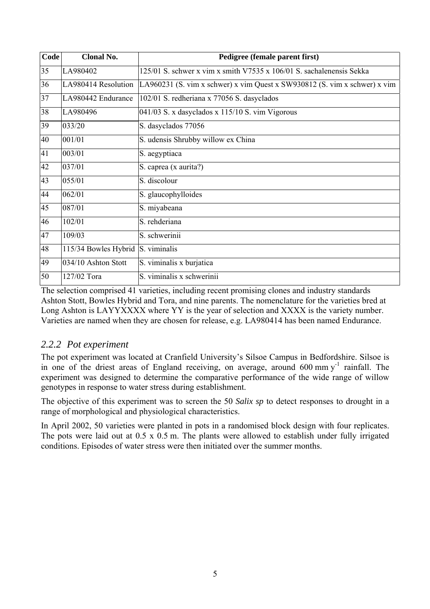| Code | <b>Clonal No.</b>    | Pedigree (female parent first)                                            |
|------|----------------------|---------------------------------------------------------------------------|
| 35   | LA980402             | 125/01 S. schwer x vim x smith V7535 x 106/01 S. sachalenensis Sekka      |
| 36   | LA980414 Resolution  | LA960231 (S. vim x schwer) x vim Quest x SW930812 (S. vim x schwer) x vim |
| 37   | LA980442 Endurance   | 102/01 S. redheriana x 77056 S. dasyclados                                |
| 38   | LA980496             | 041/03 S. x dasyclados x 115/10 S. vim Vigorous                           |
| 39   | 033/20               | S. dasyclados 77056                                                       |
| 40   | 001/01               | S. udensis Shrubby willow ex China                                        |
| 41   | 003/01               | S. aegyptiaca                                                             |
| 42   | 037/01               | S. caprea (x aurita?)                                                     |
| 43   | 055/01               | S. discolour                                                              |
| 44   | 062/01               | S. glaucophylloides                                                       |
| 45   | 087/01               | S. miyabeana                                                              |
| 46   | 102/01               | S. rehderiana                                                             |
| 47   | 109/03               | S. schwerinii                                                             |
| 48   | 115/34 Bowles Hybrid | S. viminalis                                                              |
| 49   | 034/10 Ashton Stott  | S. viminalis x burjatica                                                  |
| 50   | 127/02 Tora          | S. viminalis x schwerinii                                                 |

The selection comprised 41 varieties, including recent promising clones and industry standards Ashton Stott, Bowles Hybrid and Tora, and nine parents. The nomenclature for the varieties bred at Long Ashton is LAYYXXXX where YY is the year of selection and XXXX is the variety number. Varieties are named when they are chosen for release, e.g. LA980414 has been named Endurance.

## *2.2.2 Pot experiment*

The pot experiment was located at Cranfield University's Silsoe Campus in Bedfordshire. Silsoe is in one of the driest areas of England receiving, on average, around  $600 \text{ mm y}^{-1}$  rainfall. The experiment was designed to determine the comparative performance of the wide range of willow genotypes in response to water stress during establishment.

The objective of this experiment was to screen the 50 *Salix sp* to detect responses to drought in a range of morphological and physiological characteristics.

In April 2002, 50 varieties were planted in pots in a randomised block design with four replicates. The pots were laid out at 0.5 x 0.5 m. The plants were allowed to establish under fully irrigated conditions. Episodes of water stress were then initiated over the summer months.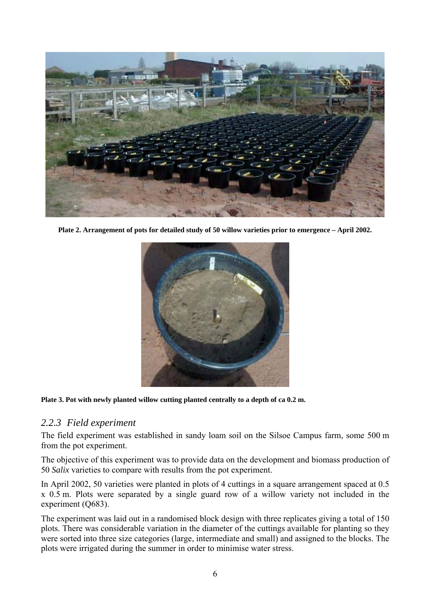

**Plate 2. Arrangement of pots for detailed study of 50 willow varieties prior to emergence – April 2002.** 



#### Plate 3. Pot with newly planted willow cutting planted centrally to a depth of ca 0.2 m.

#### *2.2.3 Field experiment*

The field experiment was established in sandy loam soil on the Silsoe Campus farm, some 500 m from the pot experiment.

The objective of this experiment was to provide data on the development and biomass production of 50 *Salix* varieties to compare with results from the pot experiment.

In April 2002, 50 varieties were planted in plots of 4 cuttings in a square arrangement spaced at 0.5 x 0.5 m. Plots were separated by a single guard row of a willow variety not included in the experiment (Q683).

The experiment was laid out in a randomised block design with three replicates giving a total of 150 plots. There was considerable variation in the diameter of the cuttings available for planting so they were sorted into three size categories (large, intermediate and small) and assigned to the blocks. The plots were irrigated during the summer in order to minimise water stress.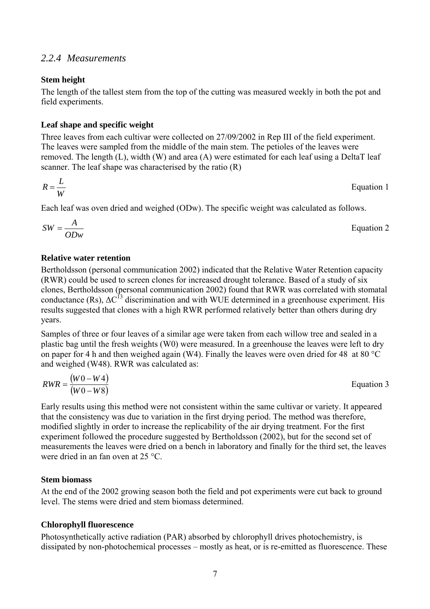#### *2.2.4 Measurements*

#### **Stem height**

The length of the tallest stem from the top of the cutting was measured weekly in both the pot and field experiments.

#### **Leaf shape and specific weight**

Three leaves from each cultivar were collected on 27/09/2002 in Rep III of the field experiment. The leaves were sampled from the middle of the main stem. The petioles of the leaves were removed. The length (L), width (W) and area (A) were estimated for each leaf using a DeltaT leaf scanner. The leaf shape was characterised by the ratio (R)

$$
R = \frac{L}{W}
$$
 Equation 1

Each leaf was oven dried and weighed (ODw). The specific weight was calculated as follows.

$$
SW = \frac{A}{ODw}
$$
 Equation 2

#### **Relative water retention**

Bertholdsson (personal communication 2002) indicated that the Relative Water Retention capacity (RWR) could be used to screen clones for increased drought tolerance. Based of a study of six clones, Bertholdsson (personal communication 2002) found that RWR was correlated with stomatal conductance (Rs),  $\Delta C^{13}$  discrimination and with WUE determined in a greenhouse experiment. His results suggested that clones with a high RWR performed relatively better than others during dry years.

Samples of three or four leaves of a similar age were taken from each willow tree and sealed in a plastic bag until the fresh weights (W0) were measured. In a greenhouse the leaves were left to dry on paper for 4 h and then weighed again (W4). Finally the leaves were oven dried for 48 at 80 °C and weighed (W48). RWR was calculated as:

$$
RWR = \frac{(W0 - W4)}{(W0 - W8)}
$$
 Equation 3

Early results using this method were not consistent within the same cultivar or variety. It appeared that the consistency was due to variation in the first drying period. The method was therefore, modified slightly in order to increase the replicability of the air drying treatment. For the first experiment followed the procedure suggested by Bertholdsson (2002), but for the second set of measurements the leaves were dried on a bench in laboratory and finally for the third set, the leaves were dried in an fan oven at 25 °C.

#### **Stem biomass**

At the end of the 2002 growing season both the field and pot experiments were cut back to ground level. The stems were dried and stem biomass determined.

#### **Chlorophyll fluorescence**

Photosynthetically active radiation (PAR) absorbed by chlorophyll drives photochemistry, is dissipated by non-photochemical processes – mostly as heat, or is re-emitted as fluorescence. These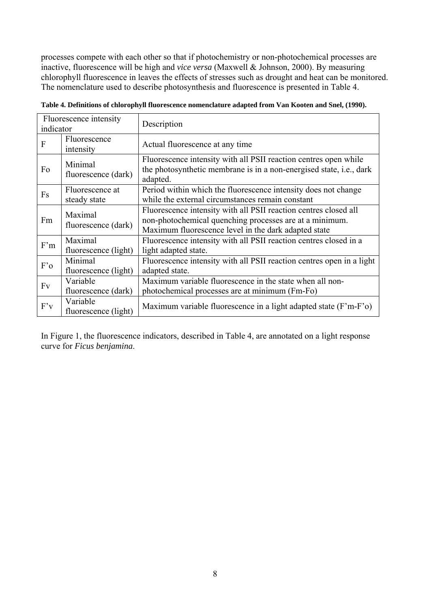processes compete with each other so that if photochemistry or non-photochemical processes are inactive, fluorescence will be high and *vice versa* (Maxwell & Johnson, 2000). By measuring chlorophyll fluorescence in leaves the effects of stresses such as drought and heat can be monitored. The nomenclature used to describe photosynthesis and fluorescence is presented in Table 4.

| Fluorescence intensity<br>indicator |                                  | Description                                                                                                                                                                         |
|-------------------------------------|----------------------------------|-------------------------------------------------------------------------------------------------------------------------------------------------------------------------------------|
| F                                   | Fluorescence<br>intensity        | Actual fluorescence at any time                                                                                                                                                     |
| Fo                                  | Minimal<br>fluorescence (dark)   | Fluorescence intensity with all PSII reaction centres open while<br>the photosynthetic membrane is in a non-energised state, i.e., dark<br>adapted.                                 |
| Fs                                  | Fluorescence at<br>steady state  | Period within which the fluorescence intensity does not change<br>while the external circumstances remain constant                                                                  |
| Fm                                  | Maximal<br>fluorescence (dark)   | Fluorescence intensity with all PSII reaction centres closed all<br>non-photochemical quenching processes are at a minimum.<br>Maximum fluorescence level in the dark adapted state |
| F'm                                 | Maximal<br>fluorescence (light)  | Fluorescence intensity with all PSII reaction centres closed in a<br>light adapted state.                                                                                           |
| F'o                                 | Minimal<br>fluorescence (light)  | Fluorescence intensity with all PSII reaction centres open in a light<br>adapted state.                                                                                             |
| Fv                                  | Variable<br>fluorescence (dark)  | Maximum variable fluorescence in the state when all non-<br>photochemical processes are at minimum (Fm-Fo)                                                                          |
| F'v                                 | Variable<br>fluorescence (light) | Maximum variable fluorescence in a light adapted state (F'm-F'o)                                                                                                                    |

**Table 4. Definitions of chlorophyll fluorescence nomenclature adapted from Van Kooten and Snel, (1990).** 

In Figure 1, the fluorescence indicators, described in Table 4, are annotated on a light response curve for *Ficus benjamina*.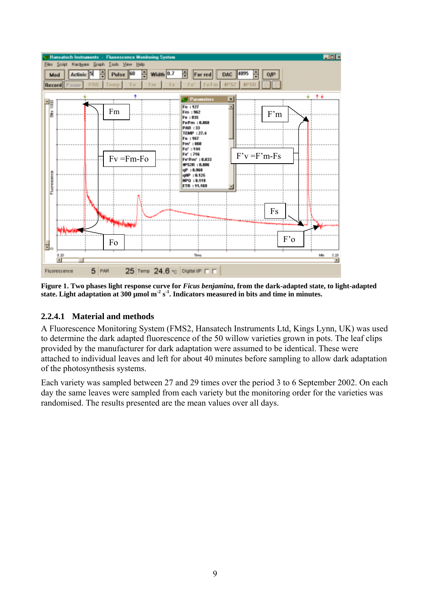

Figure 1. Two phases light response curve for *Ficus benjamina*, from the dark-adapted state, to light-adapted state. Light adaptation at 300 µmol m<sup>-2</sup> s<sup>-1</sup>. Indicators measured in bits and time in minutes.

#### **2.2.4.1 Material and methods**

A Fluorescence Monitoring System (FMS2, Hansatech Instruments Ltd, Kings Lynn, UK) was used to determine the dark adapted fluorescence of the 50 willow varieties grown in pots. The leaf clips provided by the manufacturer for dark adaptation were assumed to be identical. These were attached to individual leaves and left for about 40 minutes before sampling to allow dark adaptation of the photosynthesis systems.

Each variety was sampled between 27 and 29 times over the period 3 to 6 September 2002. On each day the same leaves were sampled from each variety but the monitoring order for the varieties was randomised. The results presented are the mean values over all days.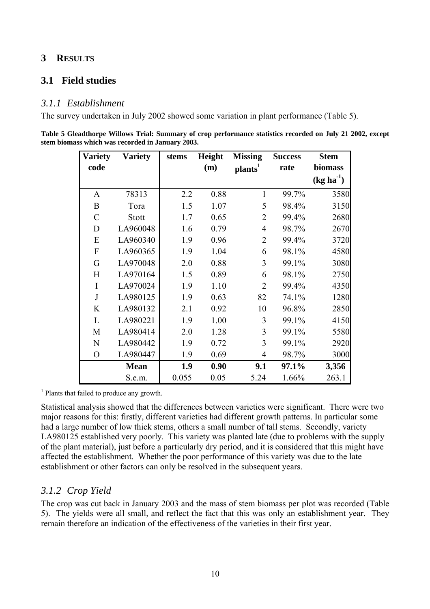## **3 RESULTS**

## **3.1 Field studies**

#### *3.1.1 Establishment*

The survey undertaken in July 2002 showed some variation in plant performance (Table 5).

| Table 5 Gleadthorpe Willows Trial: Summary of crop performance statistics recorded on July 21 2002, except |  |  |
|------------------------------------------------------------------------------------------------------------|--|--|
| stem biomass which was recorded in January 2003.                                                           |  |  |

| <b>Variety</b> | <b>Variety</b> | stems | Height | <b>Missing</b>      | <b>Success</b> | <b>Stem</b> |  |  |
|----------------|----------------|-------|--------|---------------------|----------------|-------------|--|--|
| code           |                |       | (m)    | plants <sup>1</sup> | rate           | biomass     |  |  |
|                |                |       |        |                     |                | $(kg ha-1)$ |  |  |
| A              | 78313          | 2.2   | 0.88   | $\mathbf{1}$        | 99.7%          | 3580        |  |  |
| B              | Tora           | 1.5   | 1.07   | 5                   | 98.4%          | 3150        |  |  |
| $\mathcal{C}$  | Stott          | 1.7   | 0.65   | $\overline{2}$      | 99.4%          | 2680        |  |  |
| D              | LA960048       | 1.6   | 0.79   | $\overline{4}$      | 98.7%          | 2670        |  |  |
| E              | LA960340       | 1.9   | 0.96   | $\overline{2}$      | 99.4%          | 3720        |  |  |
| $\mathbf{F}$   | LA960365       | 1.9   | 1.04   | 6                   | 98.1%          | 4580        |  |  |
| G              | LA970048       | 2.0   | 0.88   | 3                   | 99.1%          | 3080        |  |  |
| Η              | LA970164       | 1.5   | 0.89   | 6                   | 98.1%          | 2750        |  |  |
| I              | LA970024       | 1.9   | 1.10   | $\overline{2}$      | 99.4%          | 4350        |  |  |
| J              | LA980125       | 1.9   | 0.63   | 82                  | 74.1%          | 1280        |  |  |
| K              | LA980132       | 2.1   | 0.92   | 10                  | 96.8%          | 2850        |  |  |
| L              | LA980221       | 1.9   | 1.00   | 3                   | 99.1%          | 4150        |  |  |
| M              | LA980414       | 2.0   | 1.28   | 3                   | 99.1%          | 5580        |  |  |
| N              | LA980442       | 1.9   | 0.72   | 3                   | 99.1%          | 2920        |  |  |
| $\overline{O}$ | LA980447       | 1.9   | 0.69   | 4                   | 98.7%          | 3000        |  |  |
|                | <b>Mean</b>    | 1.9   | 0.90   | 9.1                 | 97.1%          | 3,356       |  |  |
|                | S.e.m.         | 0.055 | 0.05   | 5.24                | 1.66%          | 263.1       |  |  |

<sup>1</sup> Plants that failed to produce any growth.

Statistical analysis showed that the differences between varieties were significant. There were two major reasons for this: firstly, different varieties had different growth patterns. In particular some had a large number of low thick stems, others a small number of tall stems. Secondly, variety LA980125 established very poorly. This variety was planted late (due to problems with the supply of the plant material), just before a particularly dry period, and it is considered that this might have affected the establishment. Whether the poor performance of this variety was due to the late establishment or other factors can only be resolved in the subsequent years.

## *3.1.2 Crop Yield*

The crop was cut back in January 2003 and the mass of stem biomass per plot was recorded (Table 5). The yields were all small, and reflect the fact that this was only an establishment year. They remain therefore an indication of the effectiveness of the varieties in their first year.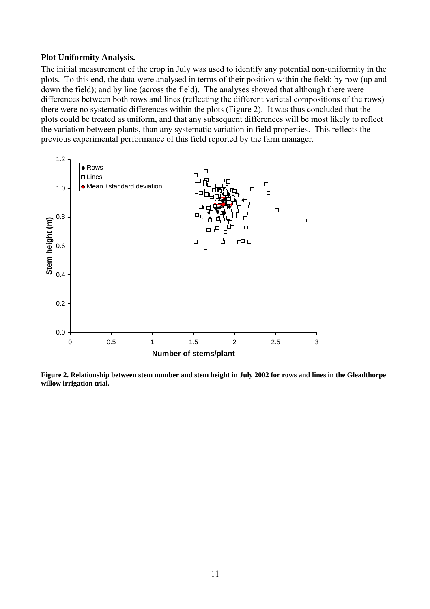#### **Plot Uniformity Analysis.**

The initial measurement of the crop in July was used to identify any potential non-uniformity in the plots. To this end, the data were analysed in terms of their position within the field: by row (up and down the field); and by line (across the field). The analyses showed that although there were differences between both rows and lines (reflecting the different varietal compositions of the rows) there were no systematic differences within the plots (Figure 2). It was thus concluded that the plots could be treated as uniform, and that any subsequent differences will be most likely to reflect the variation between plants, than any systematic variation in field properties. This reflects the previous experimental performance of this field reported by the farm manager.



**Figure 2. Relationship between stem number and stem height in July 2002 for rows and lines in the Gleadthorpe willow irrigation trial.**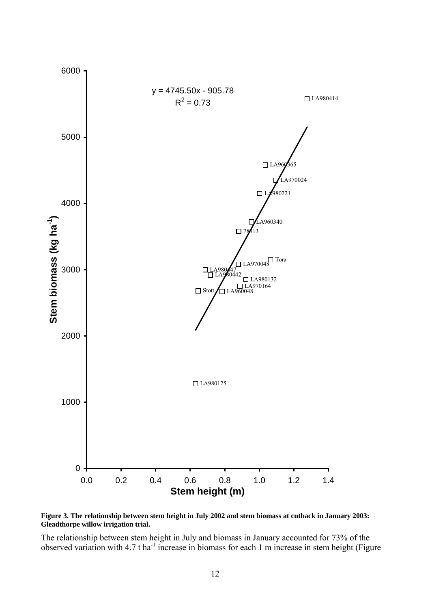

**Figure 3. The relationship between stem height in July 2002 and stem biomass at cutback in January 2003: Gleadthorpe willow irrigation trial.** 

The relationship between stem height in July and biomass in January accounted for 73% of the observed variation with 4.7 t ha<sup>-1</sup> increase in biomass for each 1 m increase in stem height (Figure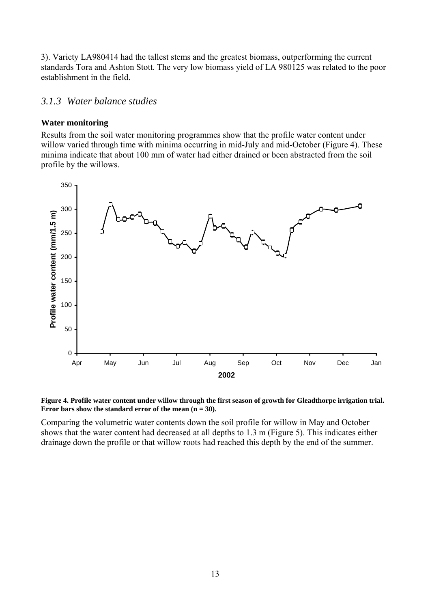3). Variety LA980414 had the tallest stems and the greatest biomass, outperforming the current standards Tora and Ashton Stott. The very low biomass yield of LA 980125 was related to the poor establishment in the field.

## *3.1.3 Water balance studies*

#### **Water monitoring**

Results from the soil water monitoring programmes show that the profile water content under willow varied through time with minima occurring in mid-July and mid-October (Figure 4). These minima indicate that about 100 mm of water had either drained or been abstracted from the soil profile by the willows.



![](_page_19_Figure_5.jpeg)

Comparing the volumetric water contents down the soil profile for willow in May and October shows that the water content had decreased at all depths to 1.3 m (Figure 5). This indicates either drainage down the profile or that willow roots had reached this depth by the end of the summer.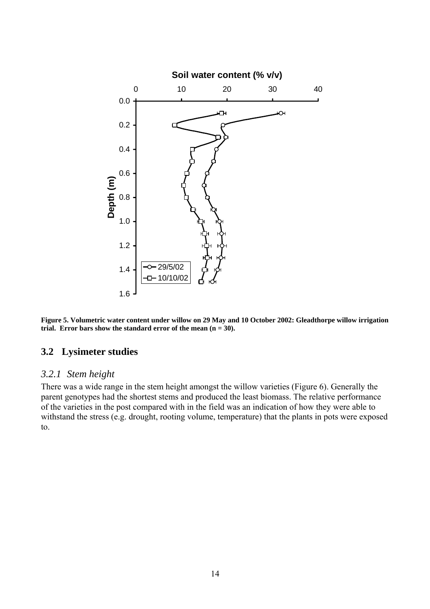![](_page_20_Figure_0.jpeg)

![](_page_20_Figure_1.jpeg)

#### **3.2 Lysimeter studies**

#### *3.2.1 Stem height*

There was a wide range in the stem height amongst the willow varieties (Figure 6). Generally the parent genotypes had the shortest stems and produced the least biomass. The relative performance of the varieties in the post compared with in the field was an indication of how they were able to withstand the stress (e.g. drought, rooting volume, temperature) that the plants in pots were exposed to.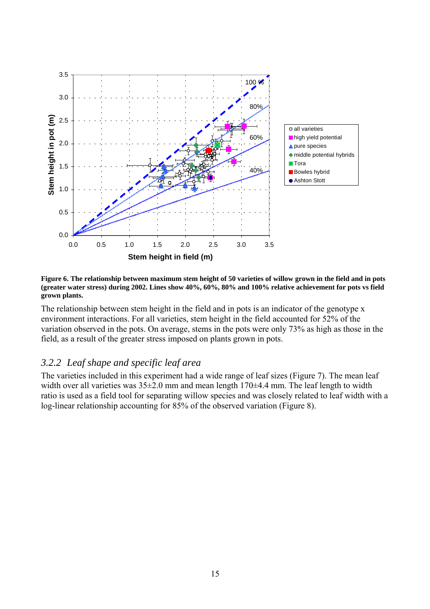![](_page_21_Figure_0.jpeg)

**Figure 6. The relationship between maximum stem height of 50 varieties of willow grown in the field and in pots (greater water stress) during 2002. Lines show 40%, 60%, 80% and 100% relative achievement for pots vs field grown plants.** 

The relationship between stem height in the field and in pots is an indicator of the genotype x environment interactions. For all varieties, stem height in the field accounted for 52% of the variation observed in the pots. On average, stems in the pots were only 73% as high as those in the field, as a result of the greater stress imposed on plants grown in pots.

## *3.2.2 Leaf shape and specific leaf area*

The varieties included in this experiment had a wide range of leaf sizes (Figure 7). The mean leaf width over all varieties was  $35\pm2.0$  mm and mean length  $170\pm4.4$  mm. The leaf length to width ratio is used as a field tool for separating willow species and was closely related to leaf width with a log-linear relationship accounting for 85% of the observed variation (Figure 8).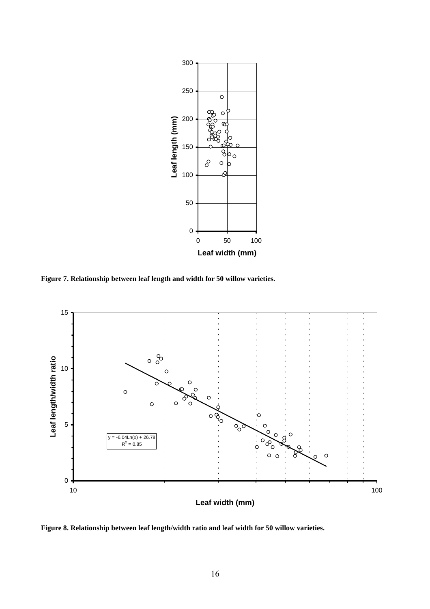![](_page_22_Figure_0.jpeg)

**Figure 7. Relationship between leaf length and width for 50 willow varieties.** 

![](_page_22_Figure_2.jpeg)

**Figure 8. Relationship between leaf length/width ratio and leaf width for 50 willow varieties.**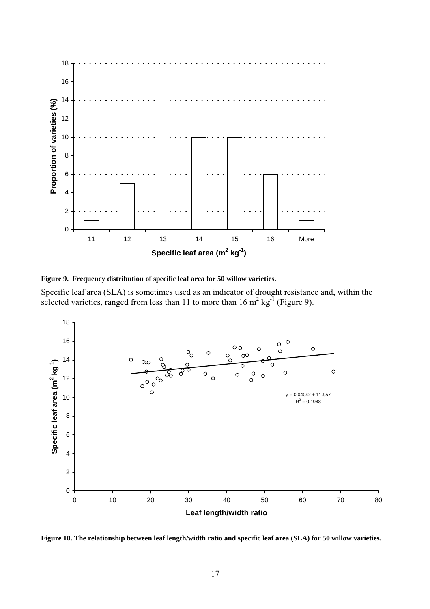![](_page_23_Figure_0.jpeg)

**Figure 9. Frequency distribution of specific leaf area for 50 willow varieties.** 

Specific leaf area (SLA) is sometimes used as an indicator of drought resistance and, within the selected varieties, ranged from less than 11 to more than  $16 \text{ m}^2 \text{ kg}^{\text{T}}$  (Figure 9).

![](_page_23_Figure_3.jpeg)

**Figure 10. The relationship between leaf length/width ratio and specific leaf area (SLA) for 50 willow varieties.**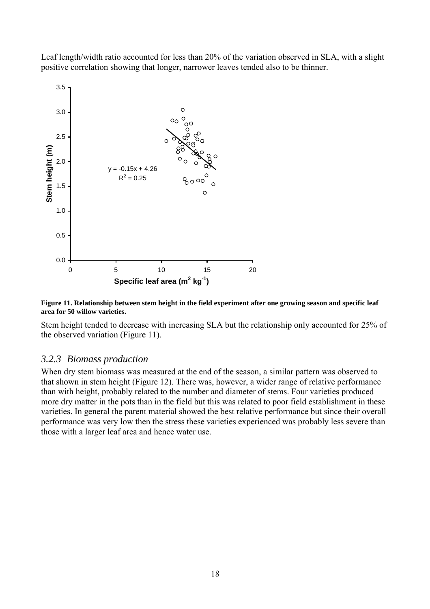Leaf length/width ratio accounted for less than 20% of the variation observed in SLA, with a slight positive correlation showing that longer, narrower leaves tended also to be thinner.

![](_page_24_Figure_1.jpeg)

**Figure 11. Relationship between stem height in the field experiment after one growing season and specific leaf area for 50 willow varieties.** 

Stem height tended to decrease with increasing SLA but the relationship only accounted for 25% of the observed variation (Figure 11).

#### *3.2.3 Biomass production*

When dry stem biomass was measured at the end of the season, a similar pattern was observed to that shown in stem height (Figure 12). There was, however, a wider range of relative performance than with height, probably related to the number and diameter of stems. Four varieties produced more dry matter in the pots than in the field but this was related to poor field establishment in these varieties. In general the parent material showed the best relative performance but since their overall performance was very low then the stress these varieties experienced was probably less severe than those with a larger leaf area and hence water use.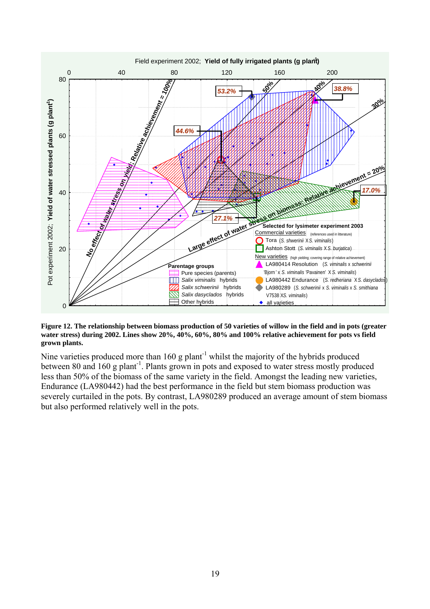![](_page_25_Figure_0.jpeg)

**Figure 12. The relationship between biomass production of 50 varieties of willow in the field and in pots (greater water stress) during 2002. Lines show 20%, 40%, 60%, 80% and 100% relative achievement for pots vs field grown plants.** 

Nine varieties produced more than  $160$  g plant<sup>-1</sup> whilst the majority of the hybrids produced between 80 and 160 g plant<sup>-1</sup>. Plants grown in pots and exposed to water stress mostly produced less than 50% of the biomass of the same variety in the field. Amongst the leading new varieties, Endurance (LA980442) had the best performance in the field but stem biomass production was severely curtailed in the pots. By contrast, LA980289 produced an average amount of stem biomass but also performed relatively well in the pots.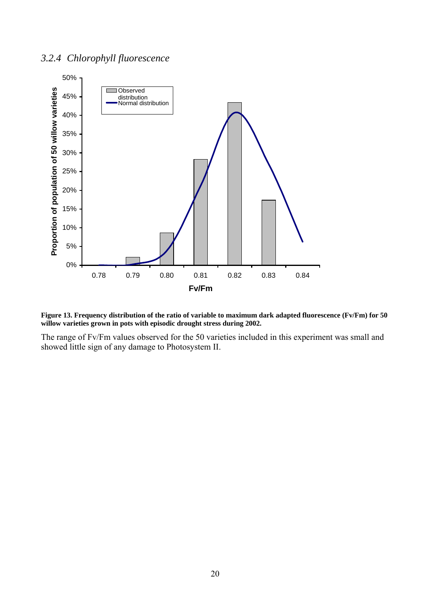## *3.2.4 Chlorophyll fluorescence*

![](_page_26_Figure_1.jpeg)

![](_page_26_Figure_2.jpeg)

The range of Fv/Fm values observed for the 50 varieties included in this experiment was small and showed little sign of any damage to Photosystem II.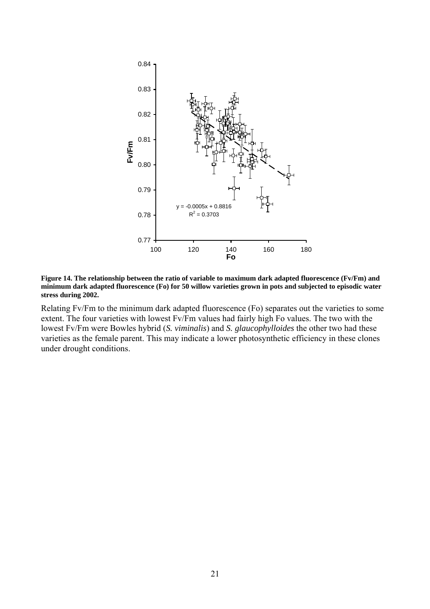![](_page_27_Figure_0.jpeg)

**Figure 14. The relationship between the ratio of variable to maximum dark adapted fluorescence (Fv/Fm) and minimum dark adapted fluorescence (Fo) for 50 willow varieties grown in pots and subjected to episodic water stress during 2002.** 

Relating Fv/Fm to the minimum dark adapted fluorescence (Fo) separates out the varieties to some extent. The four varieties with lowest Fv/Fm values had fairly high Fo values. The two with the lowest Fv/Fm were Bowles hybrid (*S. viminalis*) and *S. glaucophylloides* the other two had these varieties as the female parent. This may indicate a lower photosynthetic efficiency in these clones under drought conditions.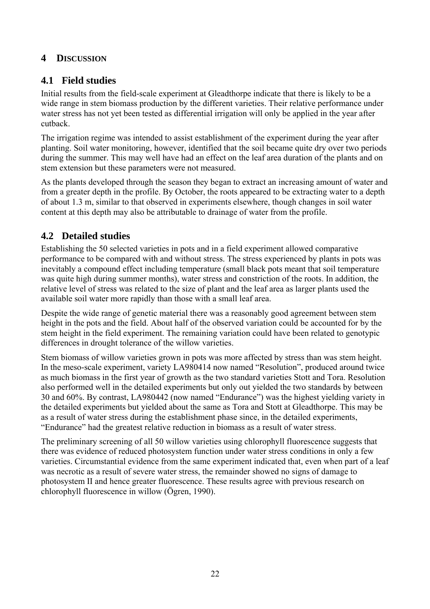## **4 DISCUSSION**

## **4.1 Field studies**

Initial results from the field-scale experiment at Gleadthorpe indicate that there is likely to be a wide range in stem biomass production by the different varieties. Their relative performance under water stress has not yet been tested as differential irrigation will only be applied in the year after cutback.

The irrigation regime was intended to assist establishment of the experiment during the year after planting. Soil water monitoring, however, identified that the soil became quite dry over two periods during the summer. This may well have had an effect on the leaf area duration of the plants and on stem extension but these parameters were not measured.

As the plants developed through the season they began to extract an increasing amount of water and from a greater depth in the profile. By October, the roots appeared to be extracting water to a depth of about 1.3 m, similar to that observed in experiments elsewhere, though changes in soil water content at this depth may also be attributable to drainage of water from the profile.

## **4.2 Detailed studies**

Establishing the 50 selected varieties in pots and in a field experiment allowed comparative performance to be compared with and without stress. The stress experienced by plants in pots was inevitably a compound effect including temperature (small black pots meant that soil temperature was quite high during summer months), water stress and constriction of the roots. In addition, the relative level of stress was related to the size of plant and the leaf area as larger plants used the available soil water more rapidly than those with a small leaf area.

Despite the wide range of genetic material there was a reasonably good agreement between stem height in the pots and the field. About half of the observed variation could be accounted for by the stem height in the field experiment. The remaining variation could have been related to genotypic differences in drought tolerance of the willow varieties.

Stem biomass of willow varieties grown in pots was more affected by stress than was stem height. In the meso-scale experiment, variety LA980414 now named "Resolution", produced around twice as much biomass in the first year of growth as the two standard varieties Stott and Tora. Resolution also performed well in the detailed experiments but only out yielded the two standards by between 30 and 60%. By contrast, LA980442 (now named "Endurance") was the highest yielding variety in the detailed experiments but yielded about the same as Tora and Stott at Gleadthorpe. This may be as a result of water stress during the establishment phase since, in the detailed experiments, ìEnduranceî had the greatest relative reduction in biomass as a result of water stress.

The preliminary screening of all 50 willow varieties using chlorophyll fluorescence suggests that there was evidence of reduced photosystem function under water stress conditions in only a few varieties. Circumstantial evidence from the same experiment indicated that, even when part of a leaf was necrotic as a result of severe water stress, the remainder showed no signs of damage to photosystem II and hence greater fluorescence. These results agree with previous research on  $chlorophyll$  fluorescence in willow (Ögren, 1990).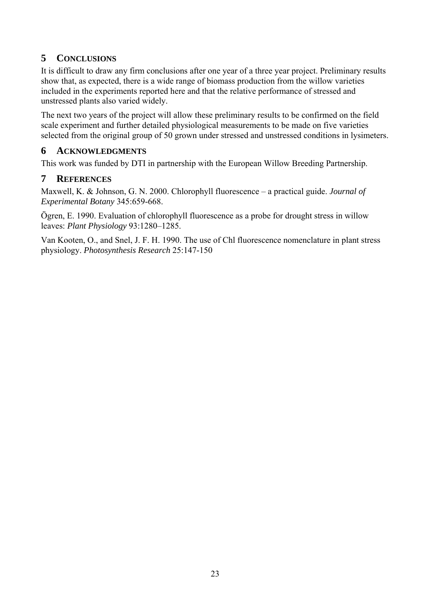## **5 CONCLUSIONS**

It is difficult to draw any firm conclusions after one year of a three year project. Preliminary results show that, as expected, there is a wide range of biomass production from the willow varieties included in the experiments reported here and that the relative performance of stressed and unstressed plants also varied widely.

The next two years of the project will allow these preliminary results to be confirmed on the field scale experiment and further detailed physiological measurements to be made on five varieties selected from the original group of 50 grown under stressed and unstressed conditions in lysimeters.

## **6 ACKNOWLEDGMENTS**

This work was funded by DTI in partnership with the European Willow Breeding Partnership.

## **7 REFERENCES**

Maxwell, K. & Johnson, G. N. 2000. Chlorophyll fluorescence - a practical guide. *Journal of Experimental Botany* 345:659-668.

Ögren, E. 1990. Evaluation of chlorophyll fluorescence as a probe for drought stress in willow leaves: *Plant Physiology* 93:1280–1285.

Van Kooten, O., and Snel, J. F. H. 1990. The use of Chl fluorescence nomenclature in plant stress physiology. *Photosynthesis Research* 25:147-150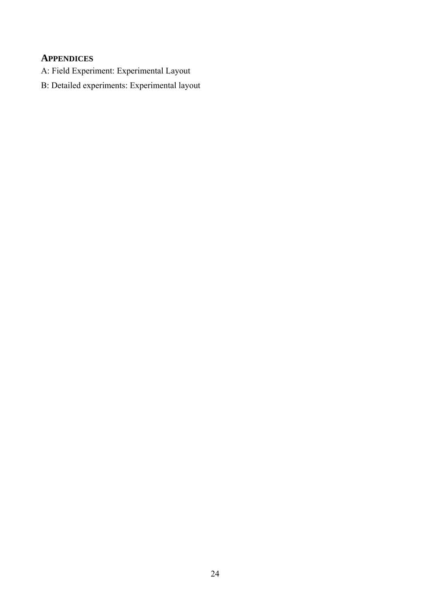## **APPENDICES**

- A: Field Experiment: Experimental Layout
- B: Detailed experiments: Experimental layout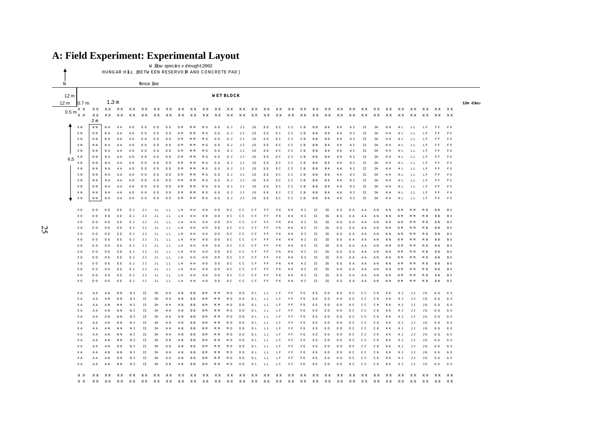## **A: Field Experiment: Experimental Layout**

HUNG AR HILL (BETW EEN RESERVO IR AND CO NCRETE PAD) W illow species x drought 2002

| N                | fence line           |                         |          |                      |                               |                            |                |                         |                      |                                              |                |                         |                       |                                |                |             |              |                                      |                |                |                |                             |                                  |               |              |                         |          |           |                |                         |                   |           |
|------------------|----------------------|-------------------------|----------|----------------------|-------------------------------|----------------------------|----------------|-------------------------|----------------------|----------------------------------------------|----------------|-------------------------|-----------------------|--------------------------------|----------------|-------------|--------------|--------------------------------------|----------------|----------------|----------------|-----------------------------|----------------------------------|---------------|--------------|-------------------------|----------|-----------|----------------|-------------------------|-------------------|-----------|
|                  |                      |                         |          |                      |                               |                            |                |                         |                      |                                              |                |                         |                       |                                |                |             |              |                                      |                |                |                |                             |                                  |               |              |                         |          |           |                |                         |                   |           |
| 12 <sub>m</sub>  |                      | <b>WET BLOCK</b>        |          |                      |                               |                            |                |                         |                      |                                              |                |                         |                       |                                |                |             |              |                                      |                |                |                |                             |                                  |               |              |                         |          |           |                |                         |                   |           |
| 12 m             | 0.7 <sub>m</sub>     |                         | 1.3 m    |                      |                               |                            |                |                         |                      |                                              |                |                         |                       |                                |                |             |              |                                      |                |                |                |                             |                                  |               |              |                         |          |           |                |                         |                   | 12m disca |
|                  | x x                  | xх                      | xх       | xx xx xx             |                               |                            |                |                         |                      |                                              |                |                         |                       |                                |                |             |              |                                      |                |                |                |                             |                                  |               | xx xx xx     |                         | xх       |           | xx xx          | хx                      | xх                |           |
| 0.5 <sub>m</sub> | <b>x</b> x           | хx                      |          |                      |                               |                            |                |                         |                      |                                              |                |                         |                       |                                |                |             |              |                                      |                |                |                |                             |                                  |               |              |                         |          |           |                |                         |                   |           |
|                  |                      | 2 <sub>m</sub>          |          |                      |                               |                            |                |                         |                      |                                              |                |                         |                       |                                |                |             |              |                                      |                |                |                |                             |                                  |               |              |                         |          |           |                |                         |                   |           |
|                  |                      |                         |          |                      |                               |                            |                |                         |                      |                                              |                |                         |                       |                                |                |             |              |                                      |                |                |                |                             |                                  |               |              |                         |          |           |                |                         |                   |           |
|                  | XN                   | $\mathbb N$ $\mathbb N$ | N A      | AA                   | A0                            | 00                         | O <sub>D</sub> | D D                     | D M                  | M M                                          | M G            | G G                     | G J                   | JJ                             | JE.            | EE          | EC           | $C$ $C$                              | C <sub>B</sub> | B <sub>B</sub> | <b>BK</b>      | K K                         | ΚΙ                               | $\mathtt{II}$ | <b>IH</b>    | HH                      | HL       | LL        | LF             | FF                      | F X               |           |
|                  | X N                  | N N                     | N A      | AA                   | A <sub>0</sub>                | 00                         | O <sub>D</sub> | D D                     | D M                  | M M                                          | M G            | G G                     | G J                   | JJ                             | $\rm J\ E$     | $\to$ $\to$ | E C          | C C                                  | C B            | <b>RR</b>      | <b>RK</b>      | K K                         | ΚI                               | II            | IH           | HH                      | HL       | LL        | T.F            | $\mathbb F$ $\mathbb F$ | ${\mathbb F}$ X   |           |
|                  | X N                  | N N                     | N A      | ΑA                   | A <sub>0</sub>                | 00                         | O <sub>D</sub> | D <sub>D</sub>          | D M                  |                                              | M G            | G G                     | G J                   | JJ                             | JE             | E E         | E C          | c c                                  | C B            | B B            |                | КK                          | ΚI                               | II            | IH           | H H                     | HL       | LL        | LF             | FF                      | F X               |           |
|                  | X N                  | N N                     | N A      | AA                   | A <sub>0</sub>                | 00                         | O <sub>D</sub> | D <sub>D</sub>          | D M                  | M M                                          | M G            | G<br>G                  | G J                   | JJ                             | JE             | E E         | E C          | c c                                  | C B            | B B            |                | КK                          | ΚI                               | II            | IH           | H H                     | HL       | LL        |                | FF                      | F X               |           |
|                  | X N                  | N N                     | N A      | AA                   | A <sub>0</sub>                | 00                         | 0D             | D D                     | D M                  | M M                                          | M G            | G G                     | G J                   | JJ                             | J.R.           | E E         | E C          | C C                                  | C <sub>R</sub> | <b>RR</b>      | <b>RK</b>      | K K                         | КI                               | II            | <b>IH</b>    | H H                     | HL       | T. T.     | L.F            | F <sub>F</sub>          | F X               |           |
| 6.5              | ΧN                   | N N                     | N A      | A A                  | AΩ                            | 00                         | O <sub>D</sub> | DD.                     | D M                  | M M                                          | M G            | G G                     | G J                   | ਹ ਹ                            | J.R.           | E E         | ЕC           | C.C                                  | C B            | R <sub>R</sub> | R K            | КК                          | кт                               | II            | TH           | H H                     | H T.     | T. T.     | L F            | F F                     | F X               |           |
|                  | X N                  | N N                     | N A      | ΑA                   | A O                           | 00                         | 0D             | D D                     | D M                  | M M                                          | M G            | G G                     | G J                   | JJ                             | JE             | E E         | EC           | C C                                  | C B            | B <sub>B</sub> | R K            | K K                         | КI                               | $\mathtt{II}$ | IH           | HH                      | HL       | LL        | LF             | FF                      | F X               |           |
|                  | X N                  | N N                     | N A      | ΑA                   | A O                           | 00                         | 0D             | DD                      | D M                  | M M                                          | M G            | G G                     | G J                   | JJ                             | JE             | $\to$ $\to$ | EC           | C C                                  | C <sub>B</sub> | <b>BB</b>      | R K            | K K                         | КI                               | II            | IH           | HH                      | HL       | LL        | LF             | $\mathbb F$ $\mathbb F$ | ${\mathbb F}$ X   |           |
|                  | X N                  | N N                     | N A      | AA                   | A <sub>0</sub>                | 0 <sub>0</sub>             | O <sub>D</sub> | $\mathbb D$ $\mathbb D$ | D M                  | M M                                          | M G            | G G                     | G J                   | J J                            | JE             | $\to$ $\to$ | EC           | c c                                  | C B            | B <sub>B</sub> | <b>BK</b>      | K K                         | KI                               | $\mathtt{II}$ | IH           | $\,$ H $\,$ H           | HL       | LL        | LF             | F F                     | F X               |           |
|                  | X N                  | N N                     | N A      | AA                   | A <sub>0</sub>                | 0 <sup>o</sup>             | O D            | D D                     | D M                  | M M                                          | M G            | G G                     | G J                   | JJ                             | $\rm J\ E$     | $\to$ $\to$ | EC           | c c                                  | C B            | B <sub>B</sub> | B K            | K K                         | ΚI                               | II            | IH           | H H                     | HL       | LL        | LF             | FF                      | F X               |           |
|                  | ΧN                   | N N                     | N A      | ΑA                   | A0                            | 00                         | O D            | D D                     | D M                  | M M                                          | M G            | G G                     | GJ                    | JJ                             | JE             | E E         | EC           | C C                                  | C B            | B <sub>B</sub> | <b>RK</b>      | K K                         | ΚI                               | $\mathtt{II}$ | IH           | НH                      | HL       | LL        | LF             | FF                      | F X               |           |
|                  | X N                  | N N                     | N A      | A A                  | A O                           | 00                         | 0D             | D D                     | D M                  | M M                                          | M G            | G G                     | GJ                    | ਹ ਹ                            | J.R.           | $\to$ $\to$ | E C          | C C                                  | C B            | <b>RR</b>      | R K            | K K                         | КI                               | II            | <b>IH</b>    | HH                      | H L      | T. T.     | L.F            | <b>FF</b>               | F X               |           |
|                  | X N                  | N N                     | N A      | ΑA                   | A O                           | 0 <sub>0</sub>             | O <sub>D</sub> | D D                     | D M                  | M M                                          | M G            | G G                     | G J                   | JJ                             | JE             | E E         | E C          | C C                                  | C B            | B <sub>B</sub> | <b>BK</b>      | K K                         | ΚI                               | $\mathtt{II}$ | IH           | H H                     | HL       | LL        | LF             | F F                     | F X               |           |
|                  |                      |                         |          |                      |                               |                            |                |                         |                      |                                              |                |                         |                       |                                |                |             |              |                                      |                |                |                |                             |                                  |               |              |                         |          |           |                |                         |                   |           |
|                  | X O                  | 00                      | O E      | E E                  | EJ                            | JJ                         | JL             | LL                      | LH                   | $\,$ H $\,$ H                                | HD             | $\,$ D $\,$ D           | D C                   | C C                            | $C$ $F$        | F F         | F K          | КК                                   | ΚΙ             | II             | $_{\rm IG}$    | G G                         | GA                               | ΑA            | AN           | $\,$ N $\,$ N           | N M      | M M       | M <sub>B</sub> | <b>BB</b>               | B X               |           |
|                  | X O                  | 0 <sup>o</sup>          | O E      |                      | ΕJ                            | JJ                         | JL             | LL                      | LH                   | H H                                          | H <sub>D</sub> | D D                     | D <sub>c</sub>        | C C                            | C F            | FF          | F K          | K K                                  | ΚI             | II             | IG             | G G                         | G A                              | AA            | AN           | N N                     | N M      |           |                |                         | B X               |           |
|                  | X O                  | 00                      | O E      | E E                  | ΕJ                            | JJ                         | JL             | LL                      | LH                   | $\mathbb H~\mathbb H$                        | HD             | D D                     | D C                   | c c                            | C F            | F F         | FK           | КK                                   | ΚI             | $\mathtt{II}$  | $_{\rm IG}$    | ${\mathbb G}$ ${\mathbb G}$ | G A                              | AA            | A N          | $\mathbb N$ $\mathbb N$ | N M      | M M       |                | <b>BB</b>               | B X               |           |
|                  | x o                  | 0 <sub>0</sub>          | O R      | E E                  | E J                           | .T.T                       | TT             | T. T.                   | т. н                 | H H                                          | HD.            | DD.                     | D.C.                  | C.C.                           | C F            | F F         | F K          | K K                                  | кт             | <b>TT</b>      | TG <sub></sub> | G G                         | G A                              | AA            | AN           | N N                     | N M      | M M       | M <sub>R</sub> | <b>R</b> R              | R X               |           |
|                  | XO                   | 00                      | O E      | E E                  | ЕJ                            | JJ                         | JL             | LL                      | LH                   | H H                                          | HD             | D D                     | D C                   | c c                            | C F            | FF          | F K          | K K                                  | КI             | II             | IG             | G G                         | G A                              | AA            | AN           | N N                     | N M      | M M       | M B            | <b>BB</b>               | B X               |           |
|                  | X O                  | 0 <sub>0</sub>          | O E      | E E                  | ЕJ                            | ਹ ਹ                        | JL             | LL                      | LH                   | $\,$ H $\,$ H                                | H D            | D D                     | D C                   | C C                            | C F            | <b>FF</b>   | FK           | K K                                  | ΚI             | II             | $_{\rm IG}$    | G G                         | G A                              | AA            | AN           | N N                     | N M      | M M       | M R            | <b>BB</b>               | B X               |           |
|                  | X O                  | 00                      | O E      | E E                  | ΕJ                            | JJ                         | JL             | LL                      | LH                   | $\,$ H $\,$ H                                | H D            | $\mathbb D$ $\mathbb D$ | D C                   | $\mathtt{C}$ $\mathtt{C}$      | C F            | F F         | F K          | КK                                   | ΚI             | $\mathtt{II}$  | $_{\rm IG}$    | ${\mathbb G}$ ${\mathbb G}$ | GA                               | ΑA            | AN           | $\,$ N $\,$ N           | N M      | M M       | M <sub>B</sub> | <b>BB</b>               | $\, {\bf B} \,$ X |           |
|                  | X O                  | 00                      | O E      | E B                  | ЕJ                            | JJ.                        | JL             | LL                      | LH                   | H H                                          | H <sub>D</sub> | D D                     | D C                   | C C                            | C F            | FF          | FK           | КK                                   | ΚI             | II             | $_{\rm IG}$    | G G                         | G A                              | AA            | AN           | N N                     | N M      | M M       | M <sub>B</sub> | <b>BB</b>               | B X               |           |
|                  | X O                  | 0 <sub>0</sub>          | O E      | E E                  | ΕJ                            | JJ                         | JL             | $\mathbb L$ $\mathbb L$ | LH                   | $\mathbb H~\mathbb H$                        | H <sub>D</sub> | $\mathbb D$ $\mathbb D$ | D C                   | C C                            | $C$ F          | F F         | F K          | КK                                   | ΚI             | $\mathtt{II}$  | $_{\rm IG}$    | ${\mathbb G}$ ${\mathbb G}$ | GA                               | AA            | AN           | $\,$ N $\,$ N           | N M      | M M       | M <sub>B</sub> | B B                     | $\, {\bf B} \,$ X |           |
|                  | X O                  | 00                      | O E      | E E                  | ΕJ                            | JJ                         | JL             | LL                      | LH                   | нн                                           | HD             | D D                     | D C                   | C C                            | C F            | FF          | F K          | КК                                   | ΚI             | II             | IG             | G G                         | GA                               | ΑA            | ΑN           | N N                     | N M      | M M       | M R            | <b>BB</b>               | B X               |           |
|                  | X O                  | 00                      | O E      | E E                  | ЕJ                            | JJ                         | JL             | LL                      | LH                   | HH                                           | HD             | D D                     | D C                   | C C                            | C F            | FF          | F K          | K K                                  | ΚI             | II             | IG             | G G                         | G A                              | AA            | A N          | N N                     | N M      | M M       | M R            | <b>BB</b>               | B X               |           |
|                  | X O                  | 00                      | O R      | ЕF                   | E J                           | JJ                         | JL             | LL                      | LH                   | H H                                          | HD.            | D <sub>D</sub>          | D C                   | C.C                            | C F            | <b>FF</b>   | F K          | K K                                  | K T            | II             | $_{\rm IG}$    | G G                         | G A                              | A A           | A N          | N N                     | N M      | M M       |                | <b>R</b> R              | B X               |           |
|                  | X O                  | 0 <sub>0</sub>          | O E      | E E                  | ΕJ                            | J J                        | JL             | $\mathbb L$ $\mathbb L$ | LH                   | HH                                           | HD             | D <sub>D</sub>          | D C                   | c c                            | C F            | F F         | F K          | КK                                   | KI             | $\mathtt{II}$  | IG             | ${\mathbb G}$ ${\mathbb G}$ | GA                               | AA            | AN           | $\,$ N $\,$ N           | N M      | M M       | M <sub>B</sub> | <b>BB</b>               | $\, {\bf B} \,$ X |           |
|                  |                      |                         |          |                      |                               |                            |                |                         |                      |                                              |                |                         |                       |                                |                |             |              |                                      |                |                |                |                             |                                  |               |              |                         |          |           |                |                         |                   |           |
|                  | ΧA                   | ΑA                      | ΑN       | N N                  | $\mathbb N$ $\mathbb I$       | $\mathtt{II}$              | IH             | HH                      | $\,$ H $\,$ B        | B <sub>B</sub>                               | B M            | M                       | M D                   | D D                            | D L            | LL          | LF           | $\mathbb F$ $\mathbb F$              | F E            | E E            | E O            | 0 <sub>0</sub>              | O <sub>C</sub>                   | C C           | C K          | K K                     | КJ       | JJ        | J G            | G G                     | G X               |           |
|                  | ΧA                   | ΑA                      | AN       | N <sub>N</sub>       | NI                            | II                         | IΗ.            | HH                      | H <sub>B</sub>       | <b>B</b> <sub>B</sub>                        | <b>RM</b>      | M M                     | M <sub>D</sub>        | D D                            | D L            | LL          | LF           | <b>FF</b>                            | <b>RE</b>      | E E            | R O            | 00                          | 0C                               | C.C           | $C$ K        | КК                      | КJ       | $J$ , $J$ | J G            | G G                     | G X               |           |
|                  | XA                   | ΑA                      | AN       | N N                  | N I                           | II                         | <b>IH</b>      | HH                      | H <sub>B</sub>       | <b>BB</b>                                    | B M            | M M                     | M <sub>D</sub>        | D D                            | D L            | LL          | LF           | FF                                   | <b>FE</b>      | E E            | E O            | 00                          | O <sub>C</sub>                   | C C           | C K          | K K                     | КJ       | JJ        | J G            | G G                     | G X               |           |
|                  | X A                  | ΑA                      | AN       | N N                  | NI                            | II                         | IH             | H H                     | H <sub>B</sub>       | <b>BB</b>                                    | B M            | M M                     | M <sub>D</sub>        | $\mathbb D$ $\mathbb D$        | D L            | LL          | LF           | $\mathbb F$ $\mathbb F$              | F E            | E E            | E O            | 00                          | O <sub>C</sub>                   | c c           | C K          | K K                     | КJ       | JJ        | J G            | G G                     | G X               |           |
|                  | ΧA                   | AA                      | AN       | N N                  | N I                           | II                         | ΙH             | HH                      | H <sub>B</sub>       | $\, {\bf B} \,$ $\, {\bf B}$                 | B M            |                         |                       | D <sub>D</sub>                 | DL             | LL          | LF           | FF                                   |                | EΕ             | E O            | 0 <sup>o</sup>              | O <sub>C</sub>                   | c c           | C K          | K K                     | K J      | J J       | J G            | G G                     | G X               |           |
|                  | ΧA                   | AA                      | AN       | N N                  | N I                           | $\mathbb{I}\,\mathbb{I}$   | IH             | HH                      | H <sub>B</sub>       | B <sub>B</sub>                               | B M            |                         |                       | D <sub>D</sub>                 | D L            | LL          | LF           | FF                                   |                | E E            | E O            | 00                          | O <sub>C</sub>                   | c c           | C K          | K K                     | КJ       | JJ        | J G            | G G                     | G X               |           |
|                  |                      |                         |          |                      |                               |                            |                |                         |                      |                                              |                |                         |                       |                                |                |             |              |                                      |                |                |                |                             |                                  |               |              |                         |          |           |                |                         |                   |           |
|                  | ΧA<br>X <sub>A</sub> | ΑA<br>ΑA                | AN<br>AN | $\,$ N $\,$ N<br>N N | $\mathbb N$ $\mathbb T$<br>NI | $\mathtt{II}$<br><b>TT</b> | IH<br>IΗ.      | HH<br>HH                | $\,$ H $\,$ B<br>H R | $\, {\bf B} \,$ $\, {\bf B} \,$<br><b>RR</b> | B M<br>R M     | M<br>M M                | M D<br>M <sub>D</sub> | $\mathbb D$ $\mathbb D$<br>D D | D L<br>D.T.    | LL<br>LL    | LF<br>. J. F | $\mathbb F$ $\mathbb F$<br><b>FF</b> | FE             | E E<br>E E     | E O<br>E O     | 00<br>00                    | O <sub>C</sub><br>O <sub>C</sub> | C C<br>C C    | C K<br>$C$ K | КK<br>K K               | КJ<br>KJ | JJ<br>JJ  | J G<br>T G     | G G<br>G G              | G X<br>G X        |           |
|                  |                      |                         |          |                      |                               |                            |                |                         |                      |                                              |                |                         |                       |                                |                |             |              |                                      |                |                |                |                             |                                  |               |              |                         |          |           |                |                         |                   |           |
|                  | XA                   | AA                      | AN       | N N                  | N I                           | II                         | <b>IH</b>      | H H                     | H <sub>B</sub>       | B <sub>B</sub>                               | B M            | M M                     | M D                   | D <sub>D</sub>                 | D L            | LL          | LF           | FF<br>F F                            | F E            | E E            | E O            | 00                          | O <sub>C</sub>                   | c c           | C K          | K K                     | КJ       | JJ        | J G            | G G                     | G X               |           |
|                  | XA                   | ΑA                      | AN       | N N                  | N I                           | II                         | IH             | H H                     | H <sub>B</sub>       | B <sub>B</sub>                               | R M            |                         | мn                    | D <sub>D</sub>                 | D L            | LL          | LF           |                                      |                | E E            | E O            | 0 <sub>0</sub>              | $\circ$ $\circ$                  | c c           | C K          | K K                     | КJ       | JJ        | J G            | G G                     | G X               |           |
|                  | ΧA                   | ΑA                      | AN       | N N                  | N I                           | II                         | IH             | HH                      | H <sub>B</sub>       | <b>BB</b>                                    |                |                         |                       | D <sub>D</sub>                 | D <sub>L</sub> | LL          | LF           | F F                                  |                |                |                | 0 <sup>o</sup>              | O <sub>C</sub>                   | c c           | C K          | K K                     | K J      | JJ        | J G            | G G                     | G X               |           |
|                  | XA                   | AA                      | AN       | N <sub>N</sub>       | N I                           | II                         | <b>IH</b>      | H H                     | H <sub>B</sub>       | B <sub>B</sub>                               |                |                         |                       | D <sub>D</sub>                 | D L            | LL          | LF           | F F                                  |                |                |                | 00                          | O <sub>C</sub>                   | C C           | C K          | K K                     | КJ       | J J       | J G            | G G                     | G X               |           |
|                  | ΧA                   | ΑA                      | ΑN       | N N                  | $\mathbb N$ $\mathbb I$       | $\mathtt{II}$              | IH             | HH                      | $\,$ H $\,$ B        | $\, {\bf B} \,$ $\, {\bf B}$                 | B M            | M M                     | M D                   | D D                            | D L            | LL          | LF           | FF                                   | F E            | E E            | E O            | 0 <sub>0</sub>              | O <sub>C</sub>                   | C C           | C K          | K K                     | КJ       | JJ        | J G            | G G                     | G X               |           |
|                  |                      |                         |          |                      |                               |                            |                |                         |                      |                                              |                |                         |                       |                                |                |             |              |                                      |                |                |                |                             |                                  |               |              |                         |          |           |                |                         |                   |           |
|                  | x x                  | хx                      |          | xx xx xx xx          |                               |                            |                |                         | xx xx xx xx          |                                              |                |                         | xx xx xx              | хx                             | хx             | xx xx xx    |              |                                      | хx             | xx xx xx       |                |                             | хx                               |               | xx xx xx     |                         | хx       |           | xx xx xx       |                         | хx                |           |
|                  | x x                  | хx                      | xх       | хx                   | хx                            | хx                         | хx             |                         | xx xx xx             |                                              | xx xx xx       |                         |                       | хx                             | xх             | xx xx xx    |              |                                      | хx             | X X            | X X            | хx                          | хx                               | xх            | xx xx        |                         | хx       | X X       | xx xx          |                         | xх                |           |

25

 $\ddagger$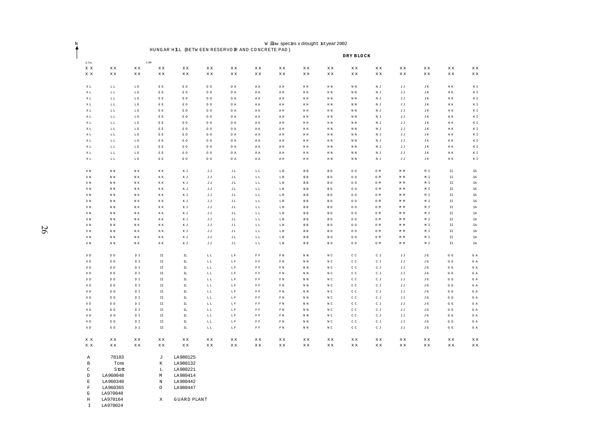| Ņ                              |                                                      |                                      |                                                                 |                                 |                                   |                          |                                                       |                                                      |                                              | W ilbw species x drought istyear 2002          |                                                    |                                 |                                 |                                 |                                                      |                                 |  |
|--------------------------------|------------------------------------------------------|--------------------------------------|-----------------------------------------------------------------|---------------------------------|-----------------------------------|--------------------------|-------------------------------------------------------|------------------------------------------------------|----------------------------------------------|------------------------------------------------|----------------------------------------------------|---------------------------------|---------------------------------|---------------------------------|------------------------------------------------------|---------------------------------|--|
| ↑                              |                                                      |                                      | HUNGAR HILL (BETW EEN RESERVO IR AND CONCRETE PAD)<br>DRY BLOCK |                                 |                                   |                          |                                                       |                                                      |                                              |                                                |                                                    |                                 |                                 |                                 |                                                      |                                 |  |
| 0.7 <sub>m</sub>               |                                                      |                                      | 1.3m                                                            |                                 |                                   |                          |                                                       |                                                      |                                              |                                                |                                                    |                                 |                                 |                                 |                                                      |                                 |  |
| $\mathbf x$ $\mathbf x$        | $\mathbf{x}\,\mathbf{x}$                             | $\mathbf{x}\,\mathbf{x}$             | $\mathbf{x}\,\mathbf{x}$                                        | $\mathbf{x}\,\mathbf{x}$        | $\mathbf{x}\,\mathbf{x}$          | $\mathbf{x}\,\mathbf{x}$ | $\mathbf{x}\,\mathbf{x}$                              | $\mathbf{x}\,\mathbf{x}$                             | $\mathbf{x}\,\mathbf{x}$                     | $\mathbf{x}\,\mathbf{x}$                       | $\mathbf{x}\,\mathbf{x}$                           | $\mathbf{x}\,\mathbf{x}$        | $\mathbf{x}\,\mathbf{x}$        | $\mathbf{x}\,\mathbf{x}$        | $\mathbf{x}\,\mathbf{x}$                             | $\mathbf{x}\,\mathbf{x}$        |  |
| $\mathbf x$ $\mathbf x$        | $\mathbf{x}\,\mathbf{x}$                             | $\mathbf{x}\,\mathbf{x}$             | $\mathbf{x}\,\mathbf{x}$                                        | $\mathbf{x}\,\mathbf{x}$        | $\mathbf{x}\,\mathbf{x}$          | $\mathbf{x}\,\mathbf{x}$ | $\mathbf{x}\,\mathbf{x}$                              | $\mathbf{x}\,\mathbf{x}$                             | $\mathbf{x}\,\mathbf{x}$                     | $\mathbf{x}\,\mathbf{x}$                       | X X                                                | $\mathbf{x}\,\mathbf{x}$        | $\mathbf{x}\,\mathbf{x}$        | X X                             | $\mathbf{x}\,\mathbf{x}$                             | X X                             |  |
| $\mathbf{X}$ L                 | $\mathbb L$ $\mathbb L$                              | $\mathbb{L}$ E                       | $\to$ $\to$                                                     | $\,$ E $\,$ O $\,$              | $\circ$ $\circ$                   | O A                      | ΑA                                                    | AH                                                   | $\,$ H $\,$ H                                | $\mathbb H~\mathbb N$                          | $\mathbb N$ $\mathbb N$                            | $\mathbb N$ J                   | $\mathbb J$ $\mathbb J$         | JK                              | $\mathbb K\ \mathbb K$                               | ΚI                              |  |
| $\mathbb X$ L                  | $\mathbb{L}$ $\mathbb{L}$                            | $\mathbb{L} \to$                     | $\to$ $\to$                                                     | $\mathbb E$ O                   | $\circ$ $\circ$                   | $O$ A                    | $\mathbbm{A}$ $\mathbbm{A}$                           | $\mathbbm{A}$ H                                      | $\mathbb H~\mathbb H$                        | $\mathbb H~\mathbb N$                          | $\mathbbm{N}$ $\mathbbm{N}$                        | $\mathbb N$ J                   | $\mathbb J$ $\mathbb J$         | J K                             | $\mathbb K~\mathbb K$                                | $\mathbb K$ I                   |  |
| $\mathbb X$ L                  | $\mathbb{L}$ $\mathbb{L}$                            | $\mathbb L$ E                        | $\to$ $\to$                                                     | E O                             | 0 <sub>0</sub>                    | O A                      | $\mathtt{A}\mathtt{A}$                                | $\,$ A $\,$ H                                        | $\, {\rm H} \,$ H                            | $\hbox{H}~\hbox{N}$                            | $\mathbb N$ $\mathbb N$                            | $\mathbb N$ J                   | JJ                              | J K                             | $\mathbb K\ \mathbb K$                               | $\mathbb K$ I                   |  |
| $\mathbb X$ L                  | $\mathbb{L}$ $\mathbb{L}$                            | $\mathbb{L}$ E                       | $\to$ $\to$                                                     | $\mathbb E$ O                   | $\circ$ $\circ$                   | $O$ A                    | $\mathbbm{A}$ $\mathbbm{A}$                           | $\,$ A $\,$ H                                        | $\mathbb H~\mathbb H$                        | $\mathbb H~\mathbb N$                          | $\mathbb N~\mathbb N$                              | $\mathbb N$ J                   | JJ                              | JK                              | $\mathbb K~\mathbb K$                                | $\mathbb K$ I                   |  |
| $\mathbb X$ L                  | $\mathbb{L}$ $\mathbb{L}$                            | $\mathbb{L} \to$                     | $\to$ $\to$                                                     | $\mathbb E$ O                   | $\circ$ $\circ$                   | $O$ A                    | $\mathbbm{A}$ $\mathbbm{A}$                           | $\,$ A $\,$ H                                        | $\mathbb H~\mathbb H$                        | $\mathbb H~\mathbb N$                          | $\mathbb N~\mathbb N$                              | $\mathbb N$ J                   | JJ                              | JK                              | $\mathbb K~\mathbb K$                                | $\mathbb K$ I                   |  |
| XL                             | $\mathbb{L} \ \mathbb{L}$                            | LE                                   | $\to$ $\to$                                                     | E O                             | 0 <sub>0</sub>                    | O A                      | ΑA                                                    | AH                                                   | HH                                           | H N                                            | N N                                                | N J                             | JJ                              | J K                             | K K                                                  | $\mathbb K$ I                   |  |
| $\mathbf{X}$ L                 | $\mathbb{L} \ \mathbb{L}$                            | $\mathbb{L}$ E                       | $\to$ $\to$                                                     | $\mathbb E$ O                   | $O$ $O$                           | O A                      | AA                                                    | AH                                                   | $\, {\rm H} \,$ H                            | H <sub>N</sub>                                 | N N                                                | $N$ J                           | $\mathbb J$ $\mathbb J$         | JK                              | $\mathbb K~\mathbb K$                                | ΚI                              |  |
| XL                             | $\mathbb{L} \ \mathbb{L}$                            | LE                                   | $\to$ $\to$                                                     | $\mathbb E$ O                   | $\circ$ $\circ$                   | O A                      | AA                                                    | AH                                                   | $\mathbb H~\mathbb H$                        | H <sub>N</sub>                                 | N N                                                | N J                             | J J                             | JK                              | $\rm K~K$                                            | $\mathbb K$ I                   |  |
| XL                             | $\mathbb{L} \ \mathbb{L}$                            | $\mathbb{L} \to$                     | EE                                                              | E O                             | $\circ$ $\circ$                   | O A                      | AA                                                    | AH                                                   | $\mathbb H~\mathbb H$                        | HN                                             | N N                                                | $N$ J                           | J J                             | JK.                             | K K                                                  | $\mathbb K$ I                   |  |
| XL                             | $\mathbb{L} \ \mathbb{L}$<br>$\mathbb L$ $\mathbb L$ | $\mathbb{L} \to$<br>$\mathbb{L} \to$ | $\to$ $\to$<br>$\to$ $\to$                                      | $\,$ E $\,$ O $\,$              | $\circ$ $\circ$                   | O A<br>O A               | AA                                                    | AH                                                   | $\, {\rm H} \,$ H                            | $\mathbb H~\mathbb N$<br>$\mathbb H~\mathbb N$ | $\mathbb N$ $\mathbb N$<br>$\mathbb N$ $\mathbb N$ | $\mathbb N$ J                   | $\mathbb J$ $\mathbb J$         | J K                             | $\mathbb K~\mathbb K$<br>$\mathbb K~\mathbb K$       | ΚI<br>ΚI                        |  |
| $\mathbb X$ L<br>$\mathbb X$ L | $\mathbb{L}$ $\mathbb{L}$                            | $\mathbb{L} \to$                     | $\to$ $\to$                                                     | $\mathbb E$ O<br>$\mathbb E$ O  | $\circ$ $\circ$<br>0 <sub>0</sub> | O A                      | $\mathbbm{A}$ $\mathbbm{A}$<br>$\mathtt{A}\mathtt{A}$ | $\mathbbm{A}$ H<br>$\,$ A $\,$ H                     | $\mathbb H~\mathbb H$<br>$\, {\rm H} \,$ H   | $\hbox{H}~\hbox{N}$                            | $\mathbb N$ $\mathbb N$                            | $\mathbb N$ J<br>$\mathbb N$ J  | $\mathbb J$ $\mathbb J$<br>J J  | J K<br>J K                      | $\mathbb K~\mathbb K$                                | $\mathbb K$ I                   |  |
| $\mathbb X$ L                  | $\mathbb L$ $\mathbb L$                              | $\mathbb{L} \to$                     | $\to$ $\to$                                                     | E O                             | 0 <sub>0</sub>                    | O A                      | $\mathbbm{A}$ $\mathbbm{A}$                           | AH                                                   | $\, {\rm H} \,$ H                            | $\hbox{H}~\hbox{N}$                            | $\mathbb N$ $\mathbb N$                            | $\mathbb N$ J                   | J J                             | J K                             | $\mathbb K~\mathbb K$                                | $\mathbb K$ I                   |  |
|                                |                                                      |                                      |                                                                 |                                 |                                   |                          |                                                       |                                                      |                                              |                                                |                                                    |                                 |                                 |                                 |                                                      |                                 |  |
| X N                            | $\mathbbm{N}$ $\mathbbm{N}$                          | $\mathbb N$ K                        | $\mathbb K~\mathbb K$                                           | ΚJ                              | J J                               | $\mathbbmss{J}$ L        | LL                                                    | $\mathbb L$ B                                        | <b>BB</b>                                    | BO                                             | 0 <sup>o</sup>                                     | O M                             | $\mathbb M$ $\mathbb M$         | M I                             | $\mathtt{II}$                                        | IA                              |  |
| X N                            | N N                                                  | NK                                   | $\mathbb K~\mathbb K$                                           | ΚJ                              | JJ                                | $\mathbbmss{J}$ L        | LL                                                    | LB                                                   | <b>BB</b>                                    | BO                                             | 0 <sup>o</sup>                                     | O M                             | M M                             | M I                             | $\mathtt{II}$                                        | <b>IA</b>                       |  |
| ΧN                             | $\mathbb N$ $\mathbb N$                              | $\mathbb N\,$ K                      | $\mathbb K\,$ K                                                 | ΚJ                              | JJ                                | $\rm J$ L                | $\mathbb{L} \ \mathbb{L}$                             | ${\bf L}$ B                                          | $\, {\bf B} \,$ $\, {\bf B}$                 | BO                                             | 0 <sub>0</sub>                                     | O M                             | M M                             | $M$ I                           | $\mathtt{II}$                                        | $\mathtt{IA}$                   |  |
| XN                             | $\mathbbm{N}$ $\mathbbm{N}$                          | $\mathbbm{N}$ K                      | $\mathbb K\ \mathbb K$                                          | $\mathbb K$ J                   | $\rm J$ $\rm J$                   | $\rm J$ L                | $\mathbb{L}$ $\mathbb{L}$                             | ${\bf L}$ B                                          | $\, {\bf B} \,$ $\, {\bf B} \,$              | $B$ O                                          | 0 <sup>o</sup>                                     | O M                             | M M                             | M I                             | $\mathbbm{I}$                                        | IA                              |  |
| $\mathbb X$ N                  | $\mathbbm{N}$ $\mathbbm{N}$                          | $\mathbb N\,$ K                      | $\mathbb K~\mathbb K$                                           | ΚJ                              | JJ                                | $\rm J$ L                | $\mathbb{L}$ $\mathbb{L}$                             | $\mathbb L$ B                                        | $\, {\bf B} \,$ $\, {\bf B} \,$              | $\, {\bf B} \,$ O                              | 0 <sub>0</sub>                                     | O M                             | M M                             | $\mathbb M$ I                   | $\mathtt{II}$                                        | IA                              |  |
| $\mathbb X$ N                  | $\mathbbm{N}$ $\mathbbm{N}$                          | $\mathbb N$ K                        | $\mathbb K~\mathbb K$                                           | ΚJ                              | $\mathbb J$ $\mathbb J$           | $\rm J$ L                | $\mathbb{L}$ $\mathbb{L}$                             | ${\rm L}$ B                                          | $\, {\bf B} \,$ B                            | $\,$ B $\,$ O $\,$                             | $\circ$ $\circ$                                    | O M                             | M M                             | $\mathbb M$ $\mathbb T$         | $\mathtt{II}$                                        | IA                              |  |
| $\mathbb X$ N                  | $\mathbb N$ $\mathbb N$                              | N K                                  | $\mathbb K~\mathbb K$                                           | ΚJ                              | JJ                                | $\rm J$ L                | $\mathbb{L}$ $\mathbb{L}$                             | $\mathbb L$ B                                        | $\, {\bf B} \,$ $\, {\bf B}$                 | $\,$ B $\,$ O $\,$                             | $\circ$ $\circ$                                    | O M                             | $\mathbb M$ $\mathbb M$         | $\mathbb M$ $\mathbb I$         | $\mathtt{II}$                                        | IA                              |  |
| $\mathbb X$ N                  | $\mathbbm{N}$ $\mathbbm{N}$                          | $\mathbb N\,$ K                      | $\mathbb K~\mathbb K$                                           | ΚJ                              | $\mathbb J$ $\mathbb J$           | $\mathbbmss{J}$ L        | $\mathbb{L}$ $\mathbb{L}$                             | $\mathbb L$ B                                        | $\, {\bf B} \,$ $\, {\bf B} \,$              | $\, {\bf B} \,$ O                              | 0 <sub>0</sub>                                     | O M                             | M M                             | $\mathbb M$ I                   | $\mathtt{II}$<br>$\mathtt{II}$                       | IA                              |  |
| $\mathbb X$ N<br>X N           | $\,$ N $\,$ N<br>N N                                 | N K<br>$\mathbb N$ K                 | $\mathbbm{K}$ $\mathbbm{K}$<br>КК                               | ΚJ<br>ΚJ                        | JJ<br>JJ                          | JL<br>$\rm J$ L          | LL<br>$\mathbb{L}$ $\mathbb{L}$                       | LB<br>LB                                             | $\, {\bf B} \,$ $\, {\bf B} \,$<br><b>BB</b> | $\, {\bf B} \,$ O<br>BO                        | 0 <sub>0</sub><br>0 <sup>o</sup>                   | O M<br>O M                      | M M<br>$\mathbb M$ $\mathbb M$  | ΜΙ<br>M I                       | $\mathtt{II}$                                        | IA<br>$\mathtt{IA}$             |  |
| X N                            | N N                                                  | NK                                   | КК                                                              | ΚJ                              | J J                               | JL                       | LL                                                    | LB                                                   | <b>BB</b>                                    | BO                                             | 0 <sup>o</sup>                                     | O M                             | M M                             | M I                             | $\mathtt{II}$                                        | IA                              |  |
| X N                            | $\mathbbm{N}$ $\mathbbm{N}$                          | $\mathbb N~\mathbb K$                | $\mathbb K~\mathbb K$                                           | ΚJ                              | $\mathbb J$ $\mathbb J$           | $\mathbbmss{J}$ L        | LL                                                    | LB                                                   | $\, {\bf B} \,$ $\, {\bf B} \,$              | BO                                             | 0 <sub>0</sub>                                     | O M                             | M M                             | $\mathbb M$ I                   | $\mathtt{II}$                                        | $\mathtt{IA}$                   |  |
| XN                             | $\mathbb N$ $\mathbb N$                              | $\mathbb N\,$ K                      | $\mathbb K\,$ K                                                 | ΚJ                              | $\mathbb J$ $\mathbb J$           | $\rm J$ L                | $\mathbf{L}$ $\mathbf{L}$                             | ${\rm L}$ B                                          | $\, {\bf B} \,$ $\, {\bf B}$                 | $\, {\bf B} \,$ O                              | 0 <sub>0</sub>                                     | O M                             | M M                             | $\mathbb M$ $\mathbb I$         | $\mathtt{II}$                                        | $\mathtt{IA}$                   |  |
|                                |                                                      |                                      |                                                                 |                                 |                                   |                          |                                                       |                                                      |                                              |                                                |                                                    |                                 |                                 |                                 |                                                      |                                 |  |
| $\mathbb X$ D                  | $\mathbb D$ $\mathbb D$                              | $\mathbb D$ I                        | $\mathtt{II}$                                                   | $\mathtt{IL}$                   | $\mathbb L$ $\mathbb L$           | $\mathbb L$ F            | $\mathbb F$ $\mathbb F$                               | $\bar{\rm F}$ N                                      | $\mathbb N$ $\mathbb N$                      | $\mathbb N$ C                                  | $\mbox{c}$ $\mbox{c}$                              | $\mathtt{C}$ J                  | JJ                              | $\mathbbm{J} \mathbbm{G}$       | ${\mathbb G}$ ${\mathbb G}$                          | GA                              |  |
| $\mathbb X$ D                  | $\mathbb D$ $\mathbb D$                              | $\mathbb D$ I                        | $\mathtt{II}$                                                   | $\mathbb{I}\mathbb{L}$          | $\mathbb{L}$ $\mathbb{L}$         | $\mathbb L$ F            | $\mathbb F$ $\mathbb F$                               | $\mathbb F$ N                                        | $\mathbb N~\mathbb N$                        | $\,$ N $\,$ C                                  | $\mathtt{C}$ $\mathtt{C}$                          | CJ                              | $\mathbb J$ $\mathbb J$         | $\mathbb J$ G                   | ${\mathbb G}$ ${\mathbb G}$                          | $G$ A                           |  |
| $\mathbb X$ D                  | $\mathbb D$ $\mathbb D$                              | $\mathbb D$ I                        | $\mathtt{II}$                                                   | $\mbox{\tt IL}$                 | $\mathbb{L}$ $\mathbb{L}$         | $\mathbb L$ F            | $\mathbb F$ $\mathbb F$                               | $\mathbb F$ N                                        | $\mathbb N$ $\mathbb N$                      | $\,$ N $\,$ C                                  | $\mathtt{C}$ $\mathtt{C}$                          | $\mathtt{C}$ J                  | JJ                              | $\mathbb J$ G                   | ${\mathbb G}$ ${\mathbb G}$                          | G A                             |  |
| $\mathbb X$ D                  | $\mathbb D$ $\mathbb D$                              | D I                                  | $\mathtt{II}$                                                   | $\mathtt{IL}$                   | $\mathbb{L}$ $\mathbb{L}$         | $\mathbb L$ F            | $\mathbb F$ $\mathbb F$                               | F N                                                  | $\mathbbm{N}$ $\mathbbm{N}$                  | $\,$ N $\,$ C                                  | $\mathtt{C}$ $\mathtt{C}$                          | $\mathtt{C}$ J                  | JJ                              | J G                             | G G                                                  | GA                              |  |
| $\mathbb X$ D                  | $\mathbb D$ $\mathbb D$                              | $\mathbb D$ I                        | $\mathtt{II}$                                                   | $\mathbb{I}\mathbb{L}$          | $\mathbb{L}$ $\mathbb{L}$         | $\mathbb{L}$ F           | ${\mathbb F}$ ${\mathbb F}$                           | ${\mathbb F}$ N                                      | $\mathbb N$ $\mathbb N$                      | $\mathbb N$ C                                  | $\mathbb C\,$ $\mathbb C$                          | $\mathtt{C}$ J                  | JJ                              | $\mathbb J$ G                   | $\mathbb{G}$ $\mathbb{G}$                            | ${\mathbb G}$ A                 |  |
| XD                             | $\mathbb D$ $\mathbb D$                              | D <sub>T</sub>                       | TT.                                                             | $\mathbb{H}$                    | LL                                | $\mathbb{L}$ F           | $\mathbb F$ $\mathbb F$                               | F N                                                  | $\mathbbm{N}$ $\mathbbm{N}$                  | $\,$ N $\,$ C                                  | $\rm c$ $\rm c$                                    | $C$ J                           | J J                             | J G                             | G G                                                  | G A                             |  |
| XD<br>$\mathbbm{X}$ D          | D D<br>$\mathbb D$ $\mathbb D$                       | D I<br>$\mathbb D$ $\mathbb I$       | $\mathtt{II}$<br>$\mathtt{II}$                                  | $\mathtt{IL}$<br>$\mathtt{IL}$  | LL<br>$\mathbb{L}$ $\mathbb{L}$   | LF<br>$\mathbb L$ F      | $\mathbb F$ $\mathbb F$<br>$\mathbb F$ $\mathbb F$    | F N<br>$\mathbb F$ N                                 | N N<br>$\mathbb N$ $\mathbb N$               | $\,$ N $\,$ C<br>$\,$ N $\,$ C                 | $\rm c$ $\rm c$<br>$\mathtt{C}$ $\mathtt{C}$       | C J<br>$\mathtt{C}$ J           | J J<br>$\mathbb J$ $\mathbb J$  | J G<br>$\mathbb J$ G            | ${\mathbb G}$ ${\mathbb G}$<br>$G$ $G$               | GA<br>G A                       |  |
| XD                             | $\mathbb D$ $\mathbb D$                              | $\mathbb D$ $\mathbb I$              | $\mathtt{II}$                                                   | $\mathtt{IL}$                   | LL                                | $\mathbb L$ F            | $\mathbb F$ $\mathbb F$                               | $\mathbb F$ N                                        | $\mathbb N$ $\mathbb N$                      | $\,$ N $\,$ C                                  | $\mathtt{C}$ $\mathtt{C}$                          | C J                             | $\mathbb J$ $\mathbb J$         | $\mathbb J$ G                   | $G$ $G$                                              | G A                             |  |
| $\mathbb X$ D                  | $\mathbb D$ $\mathbb D$                              | $\mathbb D$ I                        | $\mathtt{II}$                                                   | $\mathtt{IL}$                   | $\mathbb{L}$ $\mathbb{L}$         | $\mathbb L$ F            | $\mathbb F$ $\mathbb F$                               | $\mathbb F$ N                                        | $\mathbb N$ $\mathbb N$                      | $\,$ N $\,$ C                                  | $\mbox{c}$ $\mbox{c}$                              | $\mathtt{C}$ J                  | J J                             | $\mathbb J$ G                   | ${\mathbb G}$ ${\mathbb G}$                          | GA                              |  |
| $\mathbb X$ D                  | $\mathbb D$ $\mathbb D$                              | $\mathbb D$ I                        | $\mathtt{II}$                                                   | $\mathtt{IL}$                   | $\mathbb{L}$ $\mathbb{L}$         | $\mathbb L$ F            | $\mathbb F$ $\mathbb F$                               | $\mathbb F$ N                                        | $\mathbb N$ $\mathbb N$                      | $\,$ N $\,$ C                                  | $\subset$ $\subset$                                | CJ                              | $\mathbb J$ $\mathbb J$         | $\mathbb J$ G                   | $G$ $G$                                              | $G$ A                           |  |
| $\mathbb X$ D                  | $\mathbb D$ $\mathbb D$                              | $\mbox{\tt D}$ $\mbox{\tt I}$        | $\mathtt{II}$                                                   | $\mbox{\bf TL}$                 | $\mathbb{L}$ $\mathbb{L}$         | $\mathbb{L}$ F           | ${\mathbb F}$ ${\mathbb F}$                           | $\mathbb F$ N                                        | $\mathbb N$ $\mathbb N$                      | $\mathbb N$ C                                  | $\subset\subset$                                   | $\mathtt{C}$ J                  | JJ                              | $\mathbb J$ G                   | ${\mathbb G}$ ${\mathbb G}$                          | ${\mathbb G}$ A                 |  |
| $\mathbb X$ D                  | $\mathbb D$ $\mathbb D$                              | $\mathbb D$ I                        | $\mathtt{II}$                                                   | $\mbox{\rm TL}$                 | $\mathbb L$ $\mathbb L$           | $\mathbb L$ F            | $\mathbb F$ $\mathbb F$                               | $\mathbb F$ N                                        | $\mathbb N$ $\mathbb N$                      | $\,$ N $\,$ C                                  | $\mathtt{C}$ $\mathtt{C}$                          | $\mathtt{C}$ J                  | JJ                              | $\mathbb J$ G                   | ${\mathbb G}$ ${\mathbb G}$                          | G A                             |  |
|                                |                                                      |                                      |                                                                 |                                 |                                   |                          |                                                       |                                                      |                                              |                                                |                                                    |                                 |                                 |                                 |                                                      |                                 |  |
| $\mathbf x$ $\mathbf x$<br>x x | $\mathbf{x}\,\mathbf{x}$<br>$\mathbf{x}\,\mathbf{x}$ | X X<br>$\mathbf{x}\,\mathbf{x}$      | $\mathbf{x}\,\mathbf{x}$<br>$\mathbf{x}\,\mathbf{x}$            | $\mathbf{x}\,\mathbf{x}$<br>X X | <b>xx</b><br>X X                  | X X<br>X X               | $\mathbf{x}\,\mathbf{x}$<br>$\mathbf{x}\,\mathbf{x}$  | $\mathbf{x}\,\mathbf{x}$<br>$\mathbf{x}\,\mathbf{x}$ | X X<br>$\mathbf{x}\,\mathbf{x}$              | X X<br>$\mathbf{x}\,\mathbf{x}$                | X X<br>$\mathbf{x}\,\mathbf{x}$                    | X X<br>$\mathbf{x}\,\mathbf{x}$ | x x<br>$\mathbf{x}\,\mathbf{x}$ | X X<br>$\mathbf{x}\,\mathbf{x}$ | $\mathbf{x}\,\mathbf{x}$<br>$\mathbf{x}\,\mathbf{x}$ | X X<br>$\mathbf{x}\,\mathbf{x}$ |  |
|                                |                                                      |                                      |                                                                 |                                 |                                   |                          |                                                       |                                                      |                                              |                                                |                                                    |                                 |                                 |                                 |                                                      |                                 |  |
| Α                              | 78183                                                |                                      | J                                                               | LA980125                        |                                   |                          |                                                       |                                                      |                                              |                                                |                                                    |                                 |                                 |                                 |                                                      |                                 |  |
| B                              | Tora                                                 |                                      | К                                                               | LA980132                        |                                   |                          |                                                       |                                                      |                                              |                                                |                                                    |                                 |                                 |                                 |                                                      |                                 |  |
| $\rm C$                        | Stott                                                |                                      | L                                                               | LA980221                        |                                   |                          |                                                       |                                                      |                                              |                                                |                                                    |                                 |                                 |                                 |                                                      |                                 |  |
| $\mathbb D$                    | LA960048                                             |                                      | М                                                               | LA980414                        |                                   |                          |                                                       |                                                      |                                              |                                                |                                                    |                                 |                                 |                                 |                                                      |                                 |  |
| $\mathbb E$                    | LA960340                                             |                                      | $\, {\rm N}$<br>$\circ$                                         | LA980442<br>LA980447            |                                   |                          |                                                       |                                                      |                                              |                                                |                                                    |                                 |                                 |                                 |                                                      |                                 |  |
| $\mathbf F$<br>$\mathbf G$     | LA960365<br>LA970048                                 |                                      |                                                                 |                                 |                                   |                          |                                                       |                                                      |                                              |                                                |                                                    |                                 |                                 |                                 |                                                      |                                 |  |
| Η                              | LA970164                                             |                                      | X                                                               | <b>GUARD PLANT</b>              |                                   |                          |                                                       |                                                      |                                              |                                                |                                                    |                                 |                                 |                                 |                                                      |                                 |  |
| I                              | LA970024                                             |                                      |                                                                 |                                 |                                   |                          |                                                       |                                                      |                                              |                                                |                                                    |                                 |                                 |                                 |                                                      |                                 |  |